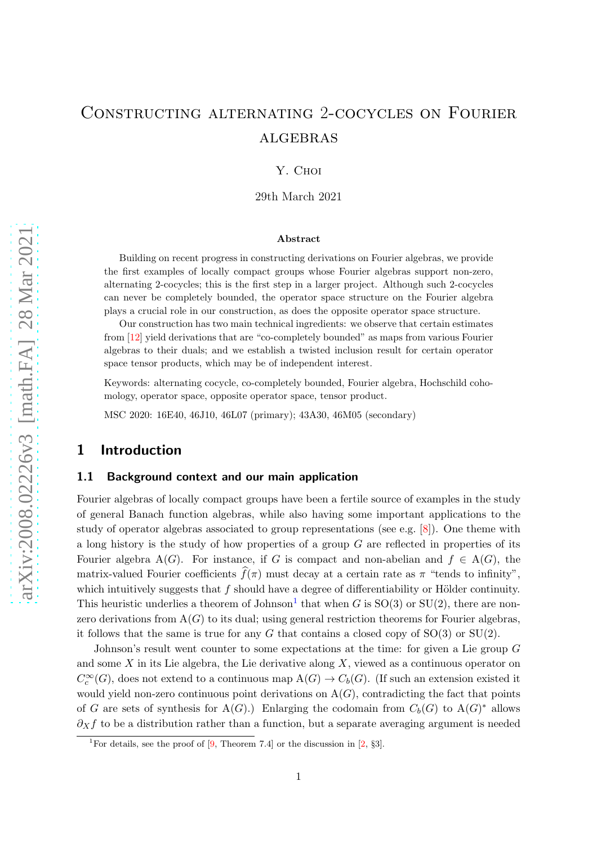# Constructing alternating 2-cocycles on Fourier **ALGEBRAS**

Y. Choi

29th March 2021

#### Abstract

Building on recent progress in constructing derivations on Fourier algebras, we provide the first examples of locally compact groups whose Fourier algebras support non-zero, alternating 2-cocycles; this is the first step in a larger project. Although such 2-cocycles can never be completely bounded, the operator space structure on the Fourier algebra plays a crucial role in our construction, as does the opposite operator space structure.

Our construction has two main technical ingredients: we observe that certain estimates from [\[12\]](#page-23-0) yield derivations that are "co-completely bounded" as maps from various Fourier algebras to their duals; and we establish a twisted inclusion result for certain operator space tensor products, which may be of independent interest.

Keywords: alternating cocycle, co-completely bounded, Fourier algebra, Hochschild cohomology, operator space, opposite operator space, tensor product.

MSC 2020: 16E40, 46J10, 46L07 (primary); 43A30, 46M05 (secondary)

## 1 Introduction

#### 1.1 Background context and our main application

Fourier algebras of locally compact groups have been a fertile source of examples in the study of general Banach function algebras, while also having some important applications to the study of operator algebras associated to group representations (see e.g. [\[8\]](#page-23-1)). One theme with a long history is the study of how properties of a group  $G$  are reflected in properties of its Fourier algebra  $A(G)$ . For instance, if G is compact and non-abelian and  $f \in A(G)$ , the matrix-valued Fourier coefficients  $\widehat{f}(\pi)$  must decay at a certain rate as  $\pi$  "tends to infinity". which intuitively suggests that  $f$  should have a degree of differentiability or Hölder continuity. This heuristic underlies a theorem of Johnson<sup>[1](#page-0-0)</sup> that when G is  $SO(3)$  or  $SU(2)$ , there are nonzero derivations from  $A(G)$  to its dual; using general restriction theorems for Fourier algebras, it follows that the same is true for any G that contains a closed copy of  $SO(3)$  or  $SU(2)$ .

Johnson's result went counter to some expectations at the time: for given a Lie group G and some X in its Lie algebra, the Lie derivative along  $X$ , viewed as a continuous operator on  $C_c^{\infty}(G)$ , does not extend to a continuous map  $A(G) \to C_b(G)$ . (If such an extension existed it would yield non-zero continuous point derivations on  $A(G)$ , contradicting the fact that points of G are sets of synthesis for A(G).) Enlarging the codomain from  $C_b(G)$  to A(G)<sup>\*</sup> allows  $\partial_{X}f$  to be a distribution rather than a function, but a separate averaging argument is needed

<span id="page-0-0"></span><sup>&</sup>lt;sup>1</sup>For details, see the proof of [\[9,](#page-23-2) Theorem 7.4] or the discussion in [\[2,](#page-22-0) §3].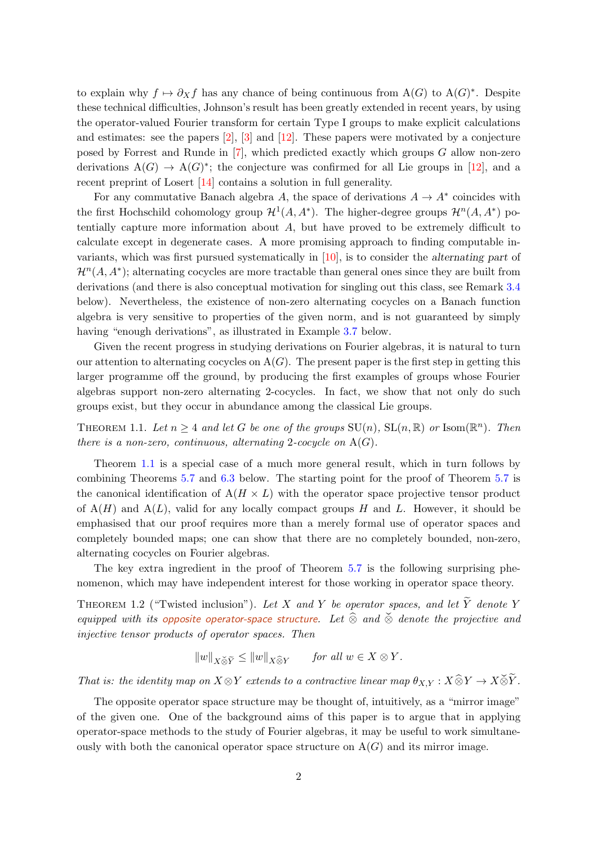to explain why  $f \mapsto \partial_X f$  has any chance of being continuous from  $A(G)$  to  $A(G)^*$ . Despite these technical difficulties, Johnson's result has been greatly extended in recent years, by using the operator-valued Fourier transform for certain Type I groups to make explicit calculations and estimates: see the papers  $[2]$ ,  $[3]$  and  $[12]$ . These papers were motivated by a conjecture posed by Forrest and Runde in [\[7\]](#page-22-2), which predicted exactly which groups G allow non-zero derivations  $A(G) \to A(G)^*$ ; the conjecture was confirmed for all Lie groups in [\[12\]](#page-23-0), and a recent preprint of Losert [\[14\]](#page-23-3) contains a solution in full generality.

For any commutative Banach algebra A, the space of derivations  $A \to A^*$  coincides with the first Hochschild cohomology group  $\mathcal{H}^1(A, A^*)$ . The higher-degree groups  $\mathcal{H}^n(A, A^*)$  potentially capture more information about  $A$ , but have proved to be extremely difficult to calculate except in degenerate cases. A more promising approach to finding computable invariants, which was first pursued systematically in [\[10\]](#page-23-4), is to consider the alternating part of  $\mathcal{H}^n(A, A^*)$ ; alternating cocycles are more tractable than general ones since they are built from derivations (and there is also conceptual motivation for singling out this class, see Remark [3.4](#page-7-0) below). Nevertheless, the existence of non-zero alternating cocycles on a Banach function algebra is very sensitive to properties of the given norm, and is not guaranteed by simply having "enough derivations", as illustrated in Example [3.7](#page-9-0) below.

Given the recent progress in studying derivations on Fourier algebras, it is natural to turn our attention to alternating cocycles on  $A(G)$ . The present paper is the first step in getting this larger programme off the ground, by producing the first examples of groups whose Fourier algebras support non-zero alternating 2-cocycles. In fact, we show that not only do such groups exist, but they occur in abundance among the classical Lie groups.

<span id="page-1-0"></span>THEOREM 1.1. Let  $n \geq 4$  and let G be one of the groups  $\text{SU}(n)$ ,  $\text{SL}(n,\mathbb{R})$  or  $\text{Isom}(\mathbb{R}^n)$ . Then there is a non-zero, continuous, alternating 2-cocycle on  $A(G)$ .

Theorem [1.1](#page-1-0) is a special case of a much more general result, which in turn follows by combining Theorems [5.7](#page-17-0) and [6.3](#page-20-0) below. The starting point for the proof of Theorem [5.7](#page-17-0) is the canonical identification of  $A(H \times L)$  with the operator space projective tensor product of  $A(H)$  and  $A(L)$ , valid for any locally compact groups H and L. However, it should be emphasised that our proof requires more than a merely formal use of operator spaces and completely bounded maps; one can show that there are no completely bounded, non-zero, alternating cocycles on Fourier algebras.

The key extra ingredient in the proof of Theorem [5.7](#page-17-0) is the following surprising phenomenon, which may have independent interest for those working in operator space theory.

<span id="page-1-1"></span>THEOREM 1.2 ("Twisted inclusion"). Let X and Y be operator spaces, and let  $\widetilde{Y}$  denote Y equipped with its opposite operator-space structure. Let  $\widehat{\otimes}$  and  $\widecheck{\otimes}$  denote the projective and injective tensor products of operator spaces. Then

$$
||w||_{X \check{\otimes} \widetilde{Y}} \le ||w||_{X \widehat{\otimes} Y} \quad \text{for all } w \in X \otimes Y.
$$

That is: the identity map on  $X \otimes Y$  extends to a contractive linear map  $\theta_{X,Y} : X \widehat{\otimes} Y \to X \check{\otimes} \widetilde{Y}$ .

The opposite operator space structure may be thought of, intuitively, as a "mirror image" of the given one. One of the background aims of this paper is to argue that in applying operator-space methods to the study of Fourier algebras, it may be useful to work simultaneously with both the canonical operator space structure on  $A(G)$  and its mirror image.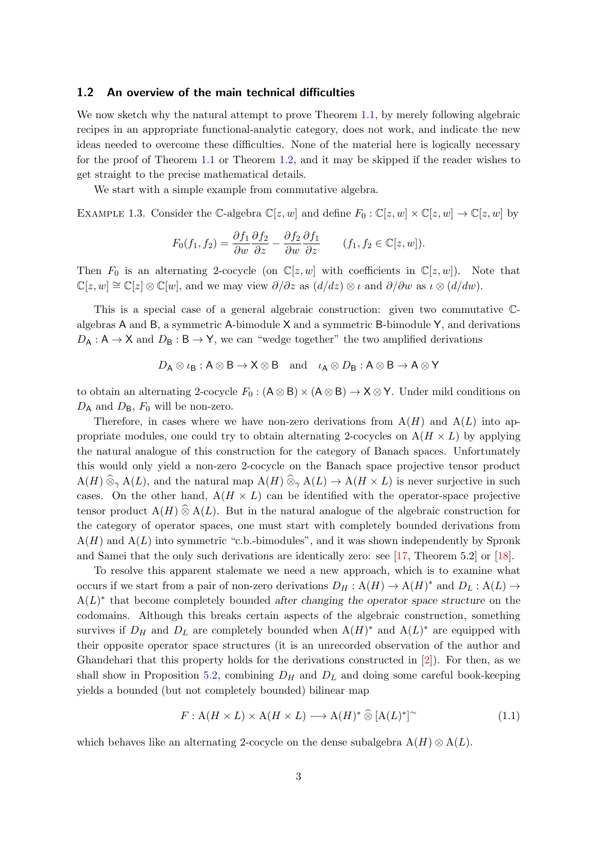#### <span id="page-2-1"></span>1.2 An overview of the main technical difficulties

We now sketch why the natural attempt to prove Theorem [1.1,](#page-1-0) by merely following algebraic recipes in an appropriate functional-analytic category, does not work, and indicate the new ideas needed to overcome these difficulties. None of the material here is logically necessary for the proof of Theorem [1.1](#page-1-0) or Theorem [1.2,](#page-1-1) and it may be skipped if the reader wishes to get straight to the precise mathematical details.

We start with a simple example from commutative algebra.

EXAMPLE 1.3. Consider the C-algebra  $\mathbb{C}[z, w]$  and define  $F_0 : \mathbb{C}[z, w] \times \mathbb{C}[z, w] \to \mathbb{C}[z, w]$  by

$$
F_0(f_1, f_2) = \frac{\partial f_1}{\partial w} \frac{\partial f_2}{\partial z} - \frac{\partial f_2}{\partial w} \frac{\partial f_1}{\partial z} \qquad (f_1, f_2 \in \mathbb{C}[z, w]).
$$

Then  $F_0$  is an alternating 2-cocycle (on  $\mathbb{C}[z,w]$  with coefficients in  $\mathbb{C}[z,w]$ ). Note that  $\mathbb{C}[z,w] \cong \mathbb{C}[z] \otimes \mathbb{C}[w]$ , and we may view  $\partial/\partial z$  as  $(d/dz) \otimes \iota$  and  $\partial/\partial w$  as  $\iota \otimes (d/dw)$ .

This is a special case of a general algebraic construction: given two commutative Calgebras A and B, a symmetric A-bimodule  $X$  and a symmetric B-bimodule  $Y$ , and derivations  $D_A: \mathsf{A} \to \mathsf{X}$  and  $D_B: \mathsf{B} \to \mathsf{Y}$ , we can "wedge together" the two amplified derivations

$$
D_A \otimes \iota_B : A \otimes B \to X \otimes B \text{ and } \iota_A \otimes D_B : A \otimes B \to A \otimes Y
$$

to obtain an alternating 2-cocycle  $F_0 : (A \otimes B) \times (A \otimes B) \to X \otimes Y$ . Under mild conditions on  $D_A$  and  $D_B$ ,  $F_0$  will be non-zero.

Therefore, in cases where we have non-zero derivations from  $A(H)$  and  $A(L)$  into appropriate modules, one could try to obtain alternating 2-cocycles on  $A(H \times L)$  by applying the natural analogue of this construction for the category of Banach spaces. Unfortunately this would only yield a non-zero 2-cocycle on the Banach space projective tensor product  $A(H) \widehat{\otimes}_{\gamma} A(L)$ , and the natural map  $A(H) \widehat{\otimes}_{\gamma} A(L) \rightarrow A(H \times L)$  is never surjective in such cases. On the other hand,  $A(H \times L)$  can be identified with the operator-space projective tensor product  $A(H) \hat{\otimes} A(L)$ . But in the natural analogue of the algebraic construction for the category of operator spaces, one must start with completely bounded derivations from  $A(H)$  and  $A(L)$  into symmetric "c.b.-bimodules", and it was shown independently by Spronk and Samei that the only such derivations are identically zero: see [\[17,](#page-23-5) Theorem 5.2] or [\[18\]](#page-23-6).

To resolve this apparent stalemate we need a new approach, which is to examine what occurs if we start from a pair of non-zero derivations  $D_H: A(H) \to A(H)^*$  and  $D_L: A(L) \to$  $A(L)^*$  that become completely bounded after changing the operator space structure on the codomains. Although this breaks certain aspects of the algebraic construction, something survives if  $D_H$  and  $D_L$  are completely bounded when  $A(H)^*$  and  $A(L)^*$  are equipped with their opposite operator space structures (it is an unrecorded observation of the author and Ghandehari that this property holds for the derivations constructed in [\[2\]](#page-22-0)). For then, as we shall show in Proposition [5.2,](#page-14-0) combining  $D_H$  and  $D_L$  and doing some careful book-keeping yields a bounded (but not completely bounded) bilinear map

<span id="page-2-0"></span>
$$
F: \mathcal{A}(H \times L) \times \mathcal{A}(H \times L) \longrightarrow \mathcal{A}(H)^* \widehat{\otimes} [\mathcal{A}(L)^*]^\sim \tag{1.1}
$$

which behaves like an alternating 2-cocycle on the dense subalgebra  $A(H) \otimes A(L)$ .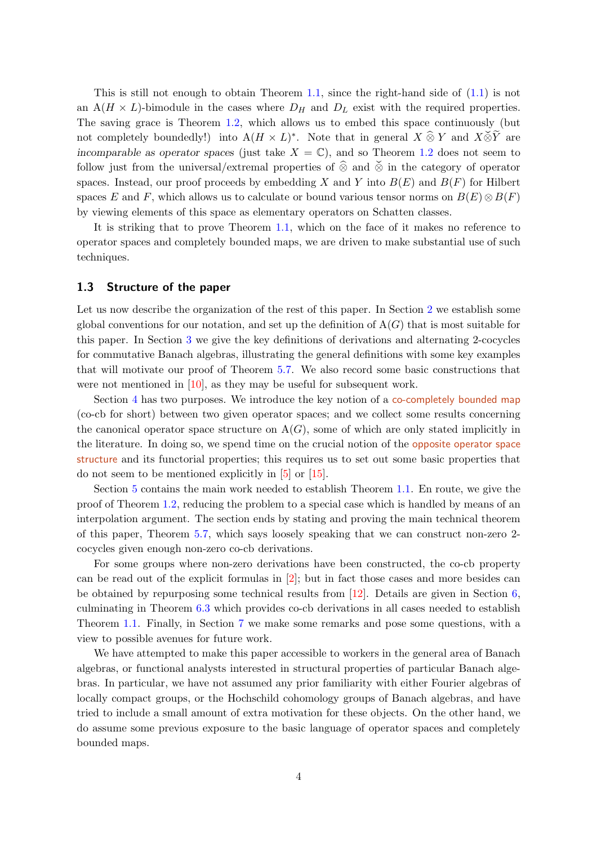This is still not enough to obtain Theorem [1.1,](#page-1-0) since the right-hand side of  $(1.1)$  is not an  $A(H \times L)$ -bimodule in the cases where  $D_H$  and  $D_L$  exist with the required properties. The saving grace is Theorem [1.2,](#page-1-1) which allows us to embed this space continuously (but not completely boundedly!) into  $A(H \times L)^*$ . Note that in general  $X \widehat{\otimes} Y$  and  $X \widecheck{\otimes} \widetilde{Y}$  are incomparable as operator spaces (just take  $X = \mathbb{C}$ ), and so Theorem [1.2](#page-1-1) does not seem to follow just from the universal/extremal properties of  $\hat{\otimes}$  and  $\check{\otimes}$  in the category of operator spaces. Instead, our proof proceeds by embedding X and Y into  $B(E)$  and  $B(F)$  for Hilbert spaces E and F, which allows us to calculate or bound various tensor norms on  $B(E) \otimes B(F)$ by viewing elements of this space as elementary operators on Schatten classes.

It is striking that to prove Theorem [1.1,](#page-1-0) which on the face of it makes no reference to operator spaces and completely bounded maps, we are driven to make substantial use of such techniques.

#### 1.3 Structure of the paper

Let us now describe the organization of the rest of this paper. In Section [2](#page-4-0) we establish some global conventions for our notation, and set up the definition of  $A(G)$  that is most suitable for this paper. In Section [3](#page-6-0) we give the key definitions of derivations and alternating 2-cocycles for commutative Banach algebras, illustrating the general definitions with some key examples that will motivate our proof of Theorem [5.7.](#page-17-0) We also record some basic constructions that were not mentioned in [\[10\]](#page-23-4), as they may be useful for subsequent work.

Section [4](#page-10-0) has two purposes. We introduce the key notion of a co-completely bounded map (co-cb for short) between two given operator spaces; and we collect some results concerning the canonical operator space structure on  $A(G)$ , some of which are only stated implicitly in the literature. In doing so, we spend time on the crucial notion of the opposite operator space structure and its functorial properties; this requires us to set out some basic properties that do not seem to be mentioned explicitly in [\[5\]](#page-22-3) or [\[15\]](#page-23-7).

Section [5](#page-13-0) contains the main work needed to establish Theorem [1.1.](#page-1-0) En route, we give the proof of Theorem [1.2,](#page-1-1) reducing the problem to a special case which is handled by means of an interpolation argument. The section ends by stating and proving the main technical theorem of this paper, Theorem [5.7,](#page-17-0) which says loosely speaking that we can construct non-zero 2 cocycles given enough non-zero co-cb derivations.

For some groups where non-zero derivations have been constructed, the co-cb property can be read out of the explicit formulas in [\[2\]](#page-22-0); but in fact those cases and more besides can be obtained by repurposing some technical results from [\[12\]](#page-23-0). Details are given in Section [6,](#page-18-0) culminating in Theorem [6.3](#page-20-0) which provides co-cb derivations in all cases needed to establish Theorem [1.1.](#page-1-0) Finally, in Section [7](#page-21-0) we make some remarks and pose some questions, with a view to possible avenues for future work.

We have attempted to make this paper accessible to workers in the general area of Banach algebras, or functional analysts interested in structural properties of particular Banach algebras. In particular, we have not assumed any prior familiarity with either Fourier algebras of locally compact groups, or the Hochschild cohomology groups of Banach algebras, and have tried to include a small amount of extra motivation for these objects. On the other hand, we do assume some previous exposure to the basic language of operator spaces and completely bounded maps.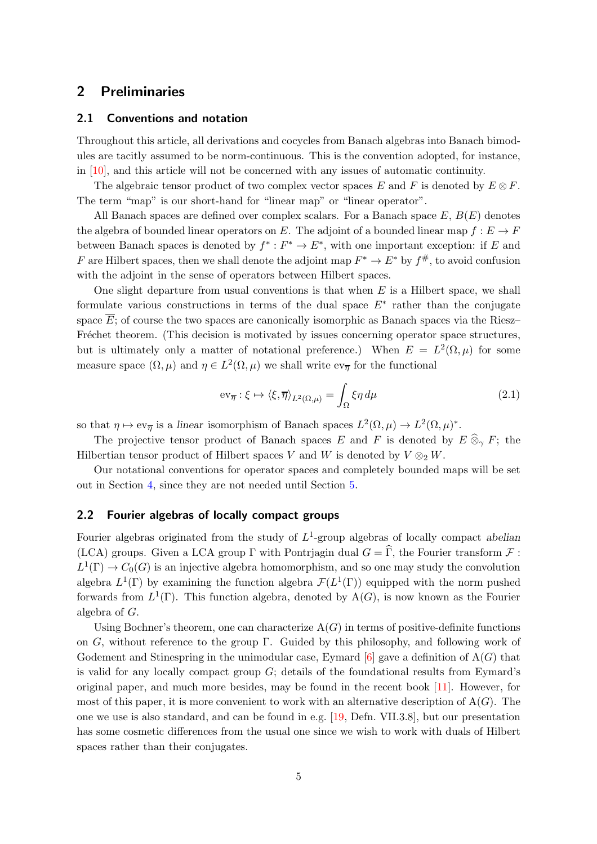# <span id="page-4-0"></span>2 Preliminaries

#### 2.1 Conventions and notation

Throughout this article, all derivations and cocycles from Banach algebras into Banach bimodules are tacitly assumed to be norm-continuous. This is the convention adopted, for instance, in [\[10\]](#page-23-4), and this article will not be concerned with any issues of automatic continuity.

The algebraic tensor product of two complex vector spaces E and F is denoted by  $E \otimes F$ . The term "map" is our short-hand for "linear map" or "linear operator".

All Banach spaces are defined over complex scalars. For a Banach space  $E, B(E)$  denotes the algebra of bounded linear operators on E. The adjoint of a bounded linear map  $f : E \to F$ between Banach spaces is denoted by  $f^* : F^* \to E^*$ , with one important exception: if E and F are Hilbert spaces, then we shall denote the adjoint map  $F^* \to E^*$  by  $f^{\#}$ , to avoid confusion with the adjoint in the sense of operators between Hilbert spaces.

One slight departure from usual conventions is that when  $E$  is a Hilbert space, we shall formulate various constructions in terms of the dual space  $E^*$  rather than the conjugate space  $\overline{E}$ ; of course the two spaces are canonically isomorphic as Banach spaces via the Riesz– Fréchet theorem. (This decision is motivated by issues concerning operator space structures, but is ultimately only a matter of notational preference.) When  $E = L^2(\Omega, \mu)$  for some measure space  $(\Omega, \mu)$  and  $\eta \in L^2(\Omega, \mu)$  we shall write  $ev_{\overline{\eta}}$  for the functional

<span id="page-4-1"></span>
$$
\operatorname{ev}_{\overline{\eta}} : \xi \mapsto \langle \xi, \overline{\eta} \rangle_{L^2(\Omega, \mu)} = \int_{\Omega} \xi \eta \, d\mu \tag{2.1}
$$

so that  $\eta \mapsto \text{ev}_{\overline{\eta}}$  is a linear isomorphism of Banach spaces  $L^2(\Omega,\mu) \to L^2(\Omega,\mu)^*$ .

The projective tensor product of Banach spaces E and F is denoted by  $E \hat{\otimes}_{\gamma} F$ ; the Hilbertian tensor product of Hilbert spaces V and W is denoted by  $V \otimes_2 W$ .

Our notational conventions for operator spaces and completely bounded maps will be set out in Section [4,](#page-10-0) since they are not needed until Section [5.](#page-13-0)

## 2.2 Fourier algebras of locally compact groups

Fourier algebras originated from the study of  $L^1$ -group algebras of locally compact abelian (LCA) groups. Given a LCA group  $\Gamma$  with Pontrjagin dual  $G = \widehat{\Gamma}$ , the Fourier transform  $\mathcal F$ :  $L^1(\Gamma) \to C_0(G)$  is an injective algebra homomorphism, and so one may study the convolution algebra  $L^1(\Gamma)$  by examining the function algebra  $\mathcal{F}(L^1(\Gamma))$  equipped with the norm pushed forwards from  $L^1(\Gamma)$ . This function algebra, denoted by  $A(G)$ , is now known as the Fourier algebra of G.

Using Bochner's theorem, one can characterize  $A(G)$  in terms of positive-definite functions on G, without reference to the group Γ. Guided by this philosophy, and following work of Godement and Stinespring in the unimodular case, Eymard  $[6]$  gave a definition of  $A(G)$  that is valid for any locally compact group  $G$ ; details of the foundational results from Eymard's original paper, and much more besides, may be found in the recent book [\[11\]](#page-23-8). However, for most of this paper, it is more convenient to work with an alternative description of  $A(G)$ . The one we use is also standard, and can be found in e.g. [\[19,](#page-23-9) Defn. VII.3.8], but our presentation has some cosmetic differences from the usual one since we wish to work with duals of Hilbert spaces rather than their conjugates.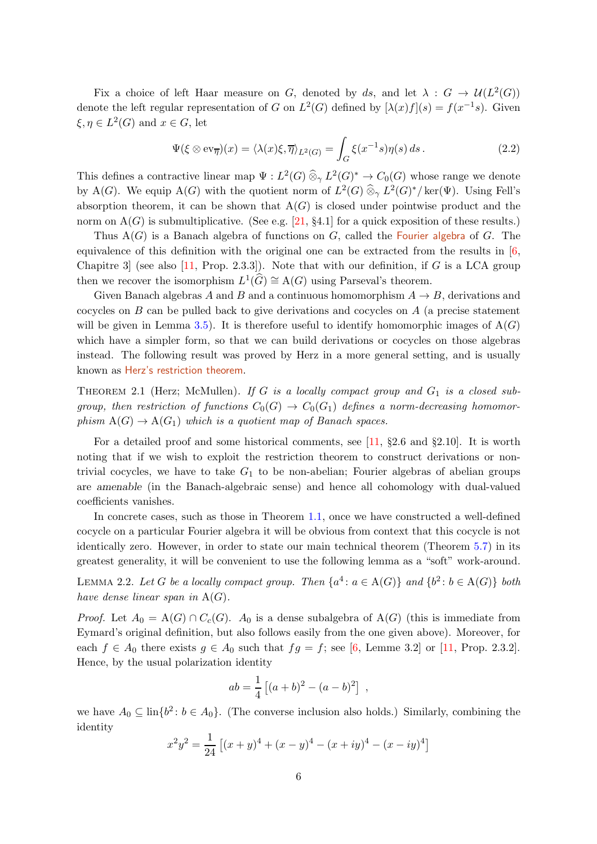Fix a choice of left Haar measure on G, denoted by ds, and let  $\lambda: G \to \mathcal{U}(L^2(G))$ denote the left regular representation of G on  $L^2(G)$  defined by  $[\lambda(x)f](s) = f(x^{-1}s)$ . Given  $\xi, \eta \in L^2(G)$  and  $x \in G$ , let

<span id="page-5-0"></span>
$$
\Psi(\xi \otimes \text{ev}_{\overline{\eta}})(x) = \langle \lambda(x)\xi, \overline{\eta} \rangle_{L^2(G)} = \int_G \xi(x^{-1}s)\eta(s) \, ds. \tag{2.2}
$$

This defines a contractive linear map  $\Psi: L^2(G) \otimes_{\gamma} L^2(G)^* \to C_0(G)$  whose range we denote by A(G). We equip A(G) with the quotient norm of  $L^2(G) \widehat{\otimes}_{\gamma} L^2(G)^* / \text{ker}(\Psi)$ . Using Fell's absorption theorem, it can be shown that  $A(G)$  is closed under pointwise product and the norm on  $A(G)$  is submultiplicative. (See e.g. [\[21,](#page-23-10) §4.1] for a quick exposition of these results.)

Thus  $A(G)$  is a Banach algebra of functions on G, called the Fourier algebra of G. The equivalence of this definition with the original one can be extracted from the results in [\[6,](#page-22-4) Chapitre 3 (see also  $[11, Prop. 2.3.3]$ ). Note that with our definition, if G is a LCA group then we recover the isomorphism  $L^1(\widehat{G}) \cong A(G)$  using Parseval's theorem.

Given Banach algebras A and B and a continuous homomorphism  $A \to B$ , derivations and cocycles on  $B$  can be pulled back to give derivations and cocycles on  $A$  (a precise statement will be given in Lemma [3.5\)](#page-8-0). It is therefore useful to identify homomorphic images of  $A(G)$ which have a simpler form, so that we can build derivations or cocycles on those algebras instead. The following result was proved by Herz in a more general setting, and is usually known as Herz's restriction theorem.

THEOREM 2.1 (Herz; McMullen). If G is a locally compact group and  $G_1$  is a closed subgroup, then restriction of functions  $C_0(G) \to C_0(G_1)$  defines a norm-decreasing homomorphism  $A(G) \to A(G_1)$  which is a quotient map of Banach spaces.

For a detailed proof and some historical comments, see [\[11,](#page-23-8) §2.6 and §2.10]. It is worth noting that if we wish to exploit the restriction theorem to construct derivations or nontrivial cocycles, we have to take  $G_1$  to be non-abelian; Fourier algebras of abelian groups are amenable (in the Banach-algebraic sense) and hence all cohomology with dual-valued coefficients vanishes.

In concrete cases, such as those in Theorem [1.1,](#page-1-0) once we have constructed a well-defined cocycle on a particular Fourier algebra it will be obvious from context that this cocycle is not identically zero. However, in order to state our main technical theorem (Theorem [5.7\)](#page-17-0) in its greatest generality, it will be convenient to use the following lemma as a "soft" work-around.

<span id="page-5-1"></span>LEMMA 2.2. Let G be a locally compact group. Then  $\{a^4: a \in A(G)\}$  and  $\{b^2: b \in A(G)\}$  both have dense linear span in  $A(G)$ .

*Proof.* Let  $A_0 = A(G) \cap C_c(G)$ .  $A_0$  is a dense subalgebra of  $A(G)$  (this is immediate from Eymard's original definition, but also follows easily from the one given above). Moreover, for each  $f \in A_0$  there exists  $g \in A_0$  such that  $fg = f$ ; see [\[6,](#page-22-4) Lemme 3.2] or [\[11,](#page-23-8) Prop. 2.3.2]. Hence, by the usual polarization identity

$$
ab = \frac{1}{4} [(a+b)^2 - (a-b)^2],
$$

we have  $A_0 \subseteq \text{lin}\{b^2 : b \in A_0\}$ . (The converse inclusion also holds.) Similarly, combining the identity

$$
x^{2}y^{2} = \frac{1}{24} \left[ (x+y)^{4} + (x-y)^{4} - (x+iy)^{4} - (x-iy)^{4} \right]
$$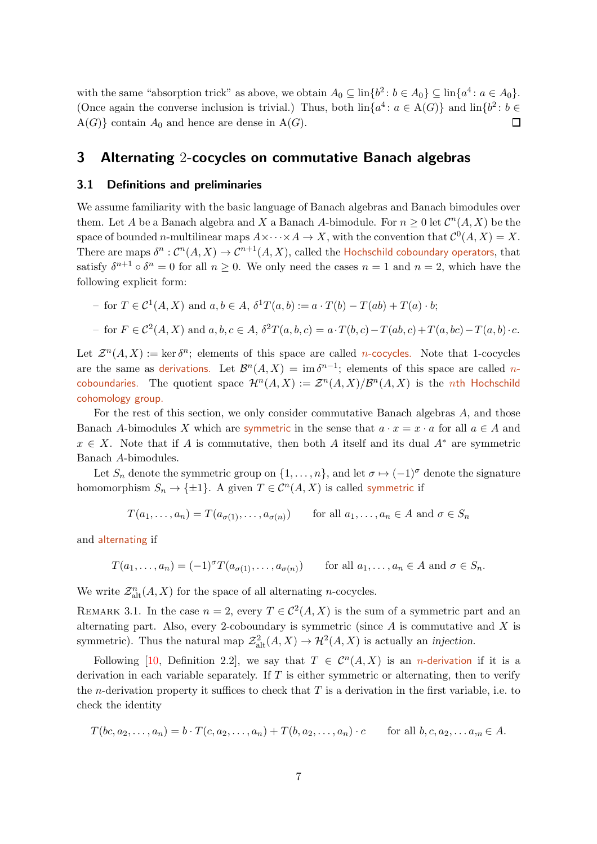with the same "absorption trick" as above, we obtain  $A_0 \subseteq \text{lin}\{b^2 : b \in A_0\} \subseteq \text{lin}\{a^4 : a \in A_0\}.$ (Once again the converse inclusion is trivial.) Thus, both  $\text{lin}\{a^4: a \in A(G)\}\$  and  $\text{lin}\{b^2: b \in A(G)\}\$  $A(G)$  contain  $A_0$  and hence are dense in  $A(G)$ . П

## <span id="page-6-0"></span>3 Alternating 2-cocycles on commutative Banach algebras

#### 3.1 Definitions and preliminaries

We assume familiarity with the basic language of Banach algebras and Banach bimodules over them. Let A be a Banach algebra and X a Banach A-bimodule. For  $n \geq 0$  let  $\mathcal{C}^n(A, X)$  be the space of bounded *n*-multilinear maps  $A \times \cdots \times A \to X$ , with the convention that  $\mathcal{C}^0(A, X) = X$ . There are maps  $\delta^n : \mathcal{C}^n(A,X) \to \mathcal{C}^{n+1}(A,X)$ , called the Hochschild coboundary operators, that satisfy  $\delta^{n+1} \circ \delta^n = 0$  for all  $n \geq 0$ . We only need the cases  $n = 1$  and  $n = 2$ , which have the following explicit form:

- for 
$$
T \in C^1(A, X)
$$
 and  $a, b \in A$ ,  $\delta^1 T(a, b) := a \cdot T(b) - T(ab) + T(a) \cdot b$ ;  
\n- for  $F \in C^2(A, X)$  and  $a, b, c \in A$ ,  $\delta^2 T(a, b, c) = a \cdot T(b, c) - T(ab, c) + T(a, bc) - T(a, b) \cdot c$ .

Let  $\mathcal{Z}^n(A,X) := \ker \delta^n$ ; elements of this space are called *n*-cocycles. Note that 1-cocycles are the same as derivations. Let  $\mathcal{B}^n(A,X) = \text{im }\delta^{n-1}$ ; elements of this space are called ncoboundaries. The quotient space  $\mathcal{H}^n(A,X) := \mathcal{Z}^n(A,X)/\mathcal{B}^n(A,X)$  is the *n*th Hochschild cohomology group.

For the rest of this section, we only consider commutative Banach algebras A, and those Banach A-bimodules X which are symmetric in the sense that  $a \cdot x = x \cdot a$  for all  $a \in A$  and  $x \in X$ . Note that if A is commutative, then both A itself and its dual  $A^*$  are symmetric Banach A-bimodules.

Let  $S_n$  denote the symmetric group on  $\{1,\ldots,n\}$ , and let  $\sigma \mapsto (-1)^{\sigma}$  denote the signature homomorphism  $S_n \to {\pm 1}$ . A given  $T \in C^n(A, X)$  is called symmetric if

$$
T(a_1, \ldots, a_n) = T(a_{\sigma(1)}, \ldots, a_{\sigma(n)}) \quad \text{for all } a_1, \ldots, a_n \in A \text{ and } \sigma \in S_n
$$

and alternating if

$$
T(a_1,\ldots,a_n) = (-1)^{\sigma} T(a_{\sigma(1)},\ldots,a_{\sigma(n)})
$$
 for all  $a_1,\ldots,a_n \in A$  and  $\sigma \in S_n$ .

We write  $\mathcal{Z}_{\text{alt}}^n(A, X)$  for the space of all alternating *n*-cocycles.

REMARK 3.1. In the case  $n = 2$ , every  $T \in C^2(A, X)$  is the sum of a symmetric part and an alternating part. Also, every 2-coboundary is symmetric (since  $A$  is commutative and  $X$  is symmetric). Thus the natural map  $\mathcal{Z}^2_{\text{alt}}(A, X) \to \mathcal{H}^2(A, X)$  is actually an *injection*.

Following [\[10,](#page-23-4) Definition 2.2], we say that  $T \in C^{n}(A, X)$  is an *n*-derivation if it is a derivation in each variable separately. If  $T$  is either symmetric or alternating, then to verify the *n*-derivation property it suffices to check that  $T$  is a derivation in the first variable, i.e. to check the identity

$$
T(bc, a_2, \ldots, a_n) = b \cdot T(c, a_2, \ldots, a_n) + T(b, a_2, \ldots, a_n) \cdot c \quad \text{for all } b, c, a_2, \ldots, a_n \in A.
$$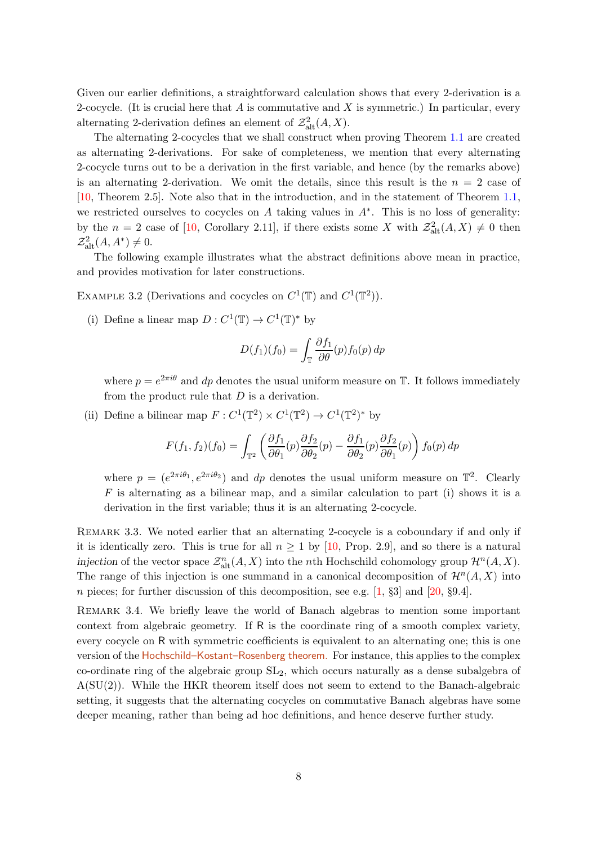Given our earlier definitions, a straightforward calculation shows that every 2-derivation is a 2-cocycle. (It is crucial here that  $A$  is commutative and  $X$  is symmetric.) In particular, every alternating 2-derivation defines an element of  $\mathcal{Z}^2_{\text{alt}}(A, X)$ .

The alternating 2-cocycles that we shall construct when proving Theorem [1.1](#page-1-0) are created as alternating 2-derivations. For sake of completeness, we mention that every alternating 2-cocycle turns out to be a derivation in the first variable, and hence (by the remarks above) is an alternating 2-derivation. We omit the details, since this result is the  $n = 2$  case of [\[10,](#page-23-4) Theorem 2.5]. Note also that in the introduction, and in the statement of Theorem [1.1,](#page-1-0) we restricted ourselves to cocycles on  $A$  taking values in  $A^*$ . This is no loss of generality: by the  $n = 2$  case of [\[10,](#page-23-4) Corollary 2.11], if there exists some X with  $\mathcal{Z}^2_{\text{alt}}(A, X) \neq 0$  then  $\mathcal{Z}^2_{\text{alt}}(A, A^*) \neq 0.$ 

The following example illustrates what the abstract definitions above mean in practice, and provides motivation for later constructions.

<span id="page-7-1"></span>EXAMPLE 3.2 (Derivations and cocycles on  $C^1(\mathbb{T})$  and  $C^1(\mathbb{T}^2)$ ).

(i) Define a linear map  $D: C^1(\mathbb{T}) \to C^1(\mathbb{T})^*$  by

$$
D(f_1)(f_0) = \int_{\mathbb{T}} \frac{\partial f_1}{\partial \theta}(p) f_0(p) \, dp
$$

where  $p = e^{2\pi i \theta}$  and dp denotes the usual uniform measure on T. It follows immediately from the product rule that  $D$  is a derivation.

(ii) Define a bilinear map  $F: C^1(\mathbb{T}^2) \times C^1(\mathbb{T}^2) \to C^1(\mathbb{T}^2)^*$  by

$$
F(f_1, f_2)(f_0) = \int_{\mathbb{T}^2} \left( \frac{\partial f_1}{\partial \theta_1}(p) \frac{\partial f_2}{\partial \theta_2}(p) - \frac{\partial f_1}{\partial \theta_2}(p) \frac{\partial f_2}{\partial \theta_1}(p) \right) f_0(p) \, dp
$$

where  $p = (e^{2\pi i\theta_1}, e^{2\pi i\theta_2})$  and dp denotes the usual uniform measure on  $\mathbb{T}^2$ . Clearly  $F$  is alternating as a bilinear map, and a similar calculation to part (i) shows it is a derivation in the first variable; thus it is an alternating 2-cocycle.

REMARK 3.3. We noted earlier that an alternating 2-cocycle is a coboundary if and only if it is identically zero. This is true for all  $n \geq 1$  by [\[10,](#page-23-4) Prop. 2.9], and so there is a natural injection of the vector space  $\mathcal{Z}_{\text{alt}}^n(A, X)$  into the *n*th Hochschild cohomology group  $\mathcal{H}^n(A, X)$ . The range of this injection is one summand in a canonical decomposition of  $\mathcal{H}^n(A, X)$  into n pieces; for further discussion of this decomposition, see e.g.  $[1, §3]$  and  $[20, §9.4]$ .

<span id="page-7-0"></span>REMARK 3.4. We briefly leave the world of Banach algebras to mention some important context from algebraic geometry. If R is the coordinate ring of a smooth complex variety, every cocycle on R with symmetric coefficients is equivalent to an alternating one; this is one version of the Hochschild–Kostant–Rosenberg theorem. For instance, this applies to the complex co-ordinate ring of the algebraic group  $SL<sub>2</sub>$ , which occurs naturally as a dense subalgebra of A(SU(2)). While the HKR theorem itself does not seem to extend to the Banach-algebraic setting, it suggests that the alternating cocycles on commutative Banach algebras have some deeper meaning, rather than being ad hoc definitions, and hence deserve further study.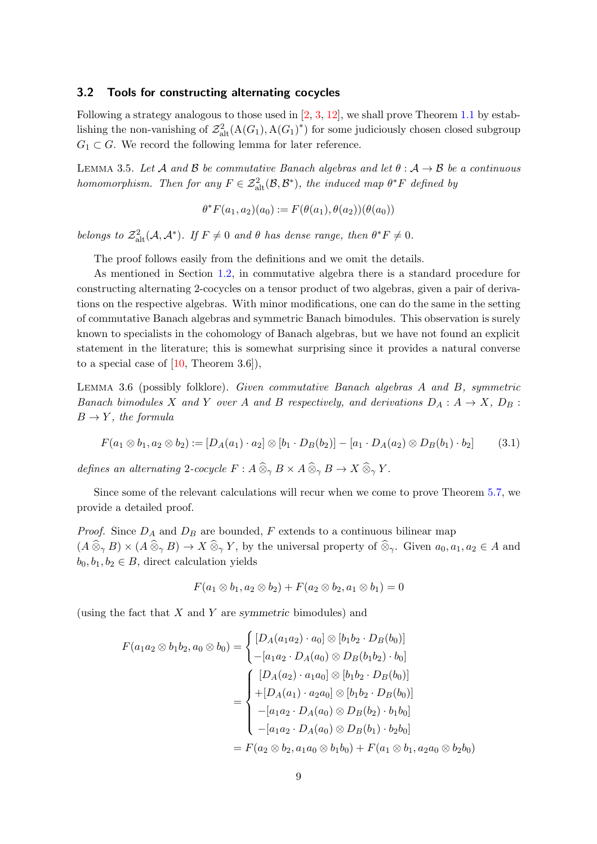## 3.2 Tools for constructing alternating cocycles

Following a strategy analogous to those used in  $[2, 3, 12]$  $[2, 3, 12]$  $[2, 3, 12]$  $[2, 3, 12]$ , we shall prove Theorem [1.1](#page-1-0) by establishing the non-vanishing of  $\mathcal{Z}^2_{alt}(A(G_1), A(G_1)^*)$  for some judiciously chosen closed subgroup  $G_1 \subset G$ . We record the following lemma for later reference.

<span id="page-8-0"></span>LEMMA 3.5. Let A and B be commutative Banach algebras and let  $\theta : A \rightarrow B$  be a continuous homomorphism. Then for any  $F \in \mathcal{Z}^2_{\text{alt}}(\mathcal{B}, \mathcal{B}^*)$ , the induced map  $\theta^* F$  defined by

$$
\theta^* F(a_1, a_2)(a_0) := F(\theta(a_1), \theta(a_2))(\theta(a_0))
$$

belongs to  $\mathcal{Z}_{alt}^2(\mathcal{A}, \mathcal{A}^*)$ . If  $F \neq 0$  and  $\theta$  has dense range, then  $\theta^* F \neq 0$ .

The proof follows easily from the definitions and we omit the details.

As mentioned in Section [1.2,](#page-2-1) in commutative algebra there is a standard procedure for constructing alternating 2-cocycles on a tensor product of two algebras, given a pair of derivations on the respective algebras. With minor modifications, one can do the same in the setting of commutative Banach algebras and symmetric Banach bimodules. This observation is surely known to specialists in the cohomology of Banach algebras, but we have not found an explicit statement in the literature; this is somewhat surprising since it provides a natural converse to a special case of  $[10,$  Theorem 3.6]),

<span id="page-8-2"></span>Lemma 3.6 (possibly folklore). Given commutative Banach algebras A and B, symmetric Banach bimodules X and Y over A and B respectively, and derivations  $D_A: A \rightarrow X$ ,  $D_B:$  $B \to Y$ , the formula

<span id="page-8-1"></span>
$$
F(a_1 \otimes b_1, a_2 \otimes b_2) := [D_A(a_1) \cdot a_2] \otimes [b_1 \cdot D_B(b_2)] - [a_1 \cdot D_A(a_2) \otimes D_B(b_1) \cdot b_2] \tag{3.1}
$$

defines an alternating 2-cocycle  $F : A \widehat{\otimes}_{\gamma} B \times A \widehat{\otimes}_{\gamma} B \to X \widehat{\otimes}_{\gamma} Y$ .

Since some of the relevant calculations will recur when we come to prove Theorem [5.7,](#page-17-0) we provide a detailed proof.

*Proof.* Since  $D_A$  and  $D_B$  are bounded, F extends to a continuous bilinear map  $(A\mathbin{\widehat{\otimes}}_\gamma B)\times (A\mathbin{\widehat{\otimes}}_\gamma B)\to X\mathbin{\widehat{\otimes}}_\gamma Y$ , by the universal property of  $\mathbin{\widehat{\otimes}}_\gamma$ . Given  $a_0, a_1, a_2\in A$  and  $b_0, b_1, b_2 \in B$ , direct calculation yields

$$
F(a_1\otimes b_1, a_2\otimes b_2)+F(a_2\otimes b_2, a_1\otimes b_1)=0
$$

(using the fact that  $X$  and  $Y$  are symmetric bimodules) and

$$
F(a_1 a_2 \otimes b_1 b_2, a_0 \otimes b_0) = \begin{cases} [D_A(a_1 a_2) \cdot a_0] \otimes [b_1 b_2 \cdot D_B(b_0)] \\ -[a_1 a_2 \cdot D_A(a_0) \otimes D_B(b_1 b_2) \cdot b_0] \end{cases}
$$
  
= 
$$
\begin{cases} [D_A(a_2) \cdot a_1 a_0] \otimes [b_1 b_2 \cdot D_B(b_0)] \\ +[D_A(a_1) \cdot a_2 a_0] \otimes [b_1 b_2 \cdot D_B(b_0)] \\ -[a_1 a_2 \cdot D_A(a_0) \otimes D_B(b_2) \cdot b_1 b_0] \\ -[a_1 a_2 \cdot D_A(a_0) \otimes D_B(b_1) \cdot b_2 b_0] \end{cases}
$$
  
= 
$$
F(a_2 \otimes b_2, a_1 a_0 \otimes b_1 b_0) + F(a_1 \otimes b_1, a_2 a_0 \otimes b_2 b_0)
$$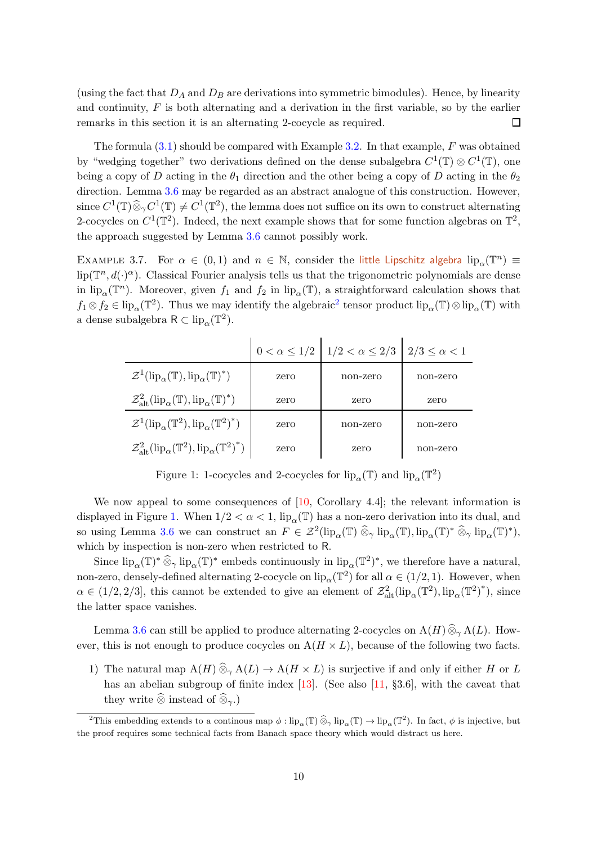(using the fact that  $D_A$  and  $D_B$  are derivations into symmetric bimodules). Hence, by linearity and continuity,  $F$  is both alternating and a derivation in the first variable, so by the earlier remarks in this section it is an alternating 2-cocycle as required. □

The formula  $(3.1)$  should be compared with Example [3.2.](#page-7-1) In that example, F was obtained by "wedging together" two derivations defined on the dense subalgebra  $C^1(\mathbb{T}) \otimes C^1(\mathbb{T})$ , one being a copy of D acting in the  $\theta_1$  direction and the other being a copy of D acting in the  $\theta_2$ direction. Lemma [3.6](#page-8-2) may be regarded as an abstract analogue of this construction. However, since  $C^1(\mathbb{T})\widehat{\otimes}_\gamma C^1(\mathbb{T})\neq C^1(\mathbb{T}^2)$ , the lemma does not suffice on its own to construct alternating 2-cocycles on  $C^1(\mathbb{T}^2)$ . Indeed, the next example shows that for some function algebras on  $\mathbb{T}^2$ , the approach suggested by Lemma [3.6](#page-8-2) cannot possibly work.

<span id="page-9-0"></span>EXAMPLE 3.7. For  $\alpha \in (0,1)$  and  $n \in \mathbb{N}$ , consider the little Lipschitz algebra  $\text{lip}_{\alpha}(\mathbb{T}^n) \equiv$  $\text{lip}(\mathbb{T}^n, d(\cdot)^\alpha)$ . Classical Fourier analysis tells us that the trigonometric polynomials are dense in  $\text{lip}_\alpha(\mathbb{T}^n)$ . Moreover, given  $f_1$  and  $f_2$  in  $\text{lip}_\alpha(\mathbb{T})$ , a straightforward calculation shows that  $f_1 \otimes f_2 \in \text{lip}_{\alpha}(\mathbb{T}^2)$  $f_1 \otimes f_2 \in \text{lip}_{\alpha}(\mathbb{T}^2)$  $f_1 \otimes f_2 \in \text{lip}_{\alpha}(\mathbb{T}^2)$ . Thus we may identify the algebraic<sup>2</sup> tensor product  $\text{lip}_{\alpha}(\mathbb{T}) \otimes \text{lip}_{\alpha}(\mathbb{T})$  with a dense subalgebra  $R \subset \text{lip}_{\alpha}(\mathbb{T}^2)$ .

|                                                                                                      |      | $0 < \alpha \leq 1/2$ $1/2 < \alpha \leq 2/3$ | $2/3 \leq \alpha < 1$ |
|------------------------------------------------------------------------------------------------------|------|-----------------------------------------------|-----------------------|
| $\mathcal{Z}^1(\text{lip}_{\alpha}(\mathbb{T}), \text{lip}_{\alpha}(\mathbb{T})^*)$                  | zero | non-zero                                      | non-zero              |
| $\mathcal{Z}^2_{\text{alt}}(\text{lip}_{\alpha}(\mathbb{T}), \text{lip}_{\alpha}(\mathbb{T})^*)$     | zero | zero                                          | zero                  |
| $\mathcal{Z}^1(\text{lip}_\alpha(\mathbb{T}^2), \text{lip}_\alpha(\mathbb{T}^2)^*)$                  | zero | non-zero                                      | non-zero              |
| $\mathcal{Z}^2_{\text{alt}}(\text{lip}_{\alpha}(\mathbb{T}^2), \text{lip}_{\alpha}(\mathbb{T}^2)^*)$ | zero | zero                                          | non-zero              |

<span id="page-9-2"></span>Figure 1: 1-cocycles and 2-cocycles for  $\mathrm{lip}_\alpha(\mathbb{T})$  and  $\mathrm{lip}_\alpha(\mathbb{T}^2)$ 

We now appeal to some consequences of  $[10,$  Corollary 4.4]; the relevant information is displayed in Figure [1.](#page-9-2) When  $1/2 < \alpha < 1$ ,  $lip_{\alpha}(\mathbb{T})$  has a non-zero derivation into its dual, and so using Lemma [3.6](#page-8-2) we can construct an  $F \in \mathcal{Z}^2(\text{lip}_\alpha(\mathbb{T}) \widehat{\otimes}_{\gamma} \text{lip}_\alpha(\mathbb{T})^* \widehat{\otimes}_{\gamma} \text{lip}_\alpha(\mathbb{T})^*),$ which by inspection is non-zero when restricted to R.

Since  $\text{lip}_{\alpha}(\mathbb{T})^* \widehat{\otimes}_{\gamma} \text{lip}_{\alpha}(\mathbb{T})^*$  embeds continuously in  $\text{lip}_{\alpha}(\mathbb{T}^2)^*$ , we therefore have a natural, non-zero, densely-defined alternating 2-cocycle on  $\text{lip}_{\alpha}(\mathbb{T}^2)$  for all  $\alpha \in (1/2, 1)$ . However, when  $\alpha \in (1/2, 2/3]$ , this cannot be extended to give an element of  $\mathcal{Z}_{alt}^2(\text{lip}_{\alpha}(\mathbb{T}^2), \text{lip}_{\alpha}(\mathbb{T}^2)^*)$ , since the latter space vanishes.

Lemma [3.6](#page-8-2) can still be applied to produce alternating 2-cocycles on  $A(H) \widehat{\otimes}_{\gamma} A(L)$ . However, this is not enough to produce cocycles on  $A(H \times L)$ , because of the following two facts.

1) The natural map  $A(H) \widehat{\otimes}_{\gamma} A(L) \to A(H \times L)$  is surjective if and only if either H or L has an abelian subgroup of finite index  $[13]$ . (See also  $[11, §3.6]$ , with the caveat that they write  $\widehat{\otimes}$  instead of  $\widehat{\otimes}_{\gamma}$ .)

<span id="page-9-1"></span><sup>&</sup>lt;sup>2</sup>This embedding extends to a continous map  $\phi :$  lip<sub>α</sub>(T)  $\widehat{\otimes}_{\gamma}$  lip<sub>α</sub>(T)  $\rightarrow$  lip<sub>α</sub>(T<sup>2</sup>). In fact,  $\phi$  is injective, but the proof requires some technical facts from Banach space theory which would distract us here.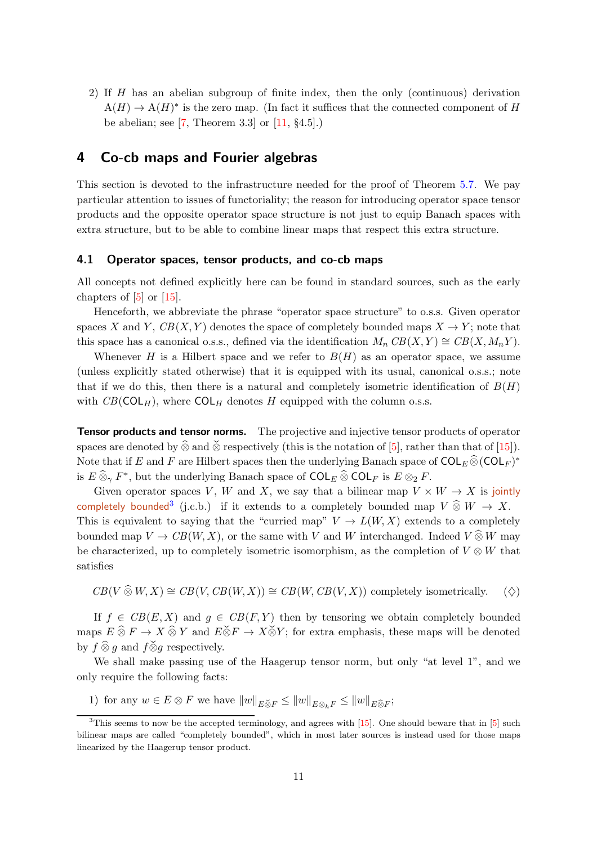2) If H has an abelian subgroup of finite index, then the only (continuous) derivation  $A(H) \to A(H)^*$  is the zero map. (In fact it suffices that the connected component of H be abelian; see [\[7,](#page-22-2) Theorem 3.3] or  $[11, §4.5]$ .)

# <span id="page-10-0"></span>4 Co-cb maps and Fourier algebras

This section is devoted to the infrastructure needed for the proof of Theorem [5.7.](#page-17-0) We pay particular attention to issues of functoriality; the reason for introducing operator space tensor products and the opposite operator space structure is not just to equip Banach spaces with extra structure, but to be able to combine linear maps that respect this extra structure.

## 4.1 Operator spaces, tensor products, and co-cb maps

All concepts not defined explicitly here can be found in standard sources, such as the early chapters of  $[5]$  or  $[15]$ .

Henceforth, we abbreviate the phrase "operator space structure" to o.s.s. Given operator spaces X and Y,  $CB(X, Y)$  denotes the space of completely bounded maps  $X \to Y$ ; note that this space has a canonical o.s.s., defined via the identification  $M_n CB(X, Y) \cong CB(X, M_nY)$ .

Whenever H is a Hilbert space and we refer to  $B(H)$  as an operator space, we assume (unless explicitly stated otherwise) that it is equipped with its usual, canonical o.s.s.; note that if we do this, then there is a natural and completely isometric identification of  $B(H)$ with  $CB(COL_H)$ , where  $COL_H$  denotes H equipped with the column o.s.s.

Tensor products and tensor norms. The projective and injective tensor products of operator spaces are denoted by  $\widehat{\otimes}$  and  $\widecheck{\otimes}$  respectively (this is the notation of [\[5\]](#page-22-3), rather than that of [\[15\]](#page-23-7)). Note that if E and F are Hilbert spaces then the underlying Banach space of  $\text{COL}_E \widehat{\otimes} (\text{COL}_F)^*$ is  $E \widehat{\otimes}_{\gamma} F^*$ , but the underlying Banach space of  $\mathsf{COL}_E \widehat{\otimes} \mathsf{COL}_F$  is  $E \otimes_2 F$ .

Given operator spaces V, W and X, we say that a bilinear map  $V \times W \to X$  is jointly completely bounded<sup>[3](#page-10-1)</sup> (j.c.b.) if it extends to a completely bounded map  $V \mathbin{\widehat{\otimes}} W \to X$ . This is equivalent to saying that the "curried map"  $V \to L(W, X)$  extends to a completely bounded map  $V \to CB(W, X)$ , or the same with V and W interchanged. Indeed  $V \hat{\otimes} W$  may be characterized, up to completely isometric isomorphism, as the completion of  $V \otimes W$  that satisfies

<span id="page-10-3"></span>
$$
CB(V \widehat{\otimes} W, X) \cong CB(V, CB(W, X)) \cong CB(W, CB(V, X))
$$
 completely isometrically.  $(\diamondsuit)$ 

If  $f \in CB(E, X)$  and  $g \in CB(F, Y)$  then by tensoring we obtain completely bounded maps  $E \,\hat{\otimes}\, F \to X \,\hat{\otimes}\, Y$  and  $E \check{\otimes} F \to X \check{\otimes} Y$ ; for extra emphasis, these maps will be denoted by  $f \widehat{\otimes} g$  and  $f \widecheck{\otimes} g$  respectively.

<span id="page-10-2"></span>We shall make passing use of the Haagerup tensor norm, but only "at level 1", and we only require the following facts:

1) for any  $w \in E \otimes F$  we have  $||w||_{E \check{\otimes} F} \le ||w||_{E \otimes_h F} \le ||w||_{E \hat{\otimes} F}$ ;

<span id="page-10-1"></span><sup>&</sup>lt;sup>3</sup>This seems to now be the accepted terminology, and agrees with [\[15\]](#page-23-7). One should beware that in [\[5\]](#page-22-3) such bilinear maps are called "completely bounded", which in most later sources is instead used for those maps linearized by the Haagerup tensor product.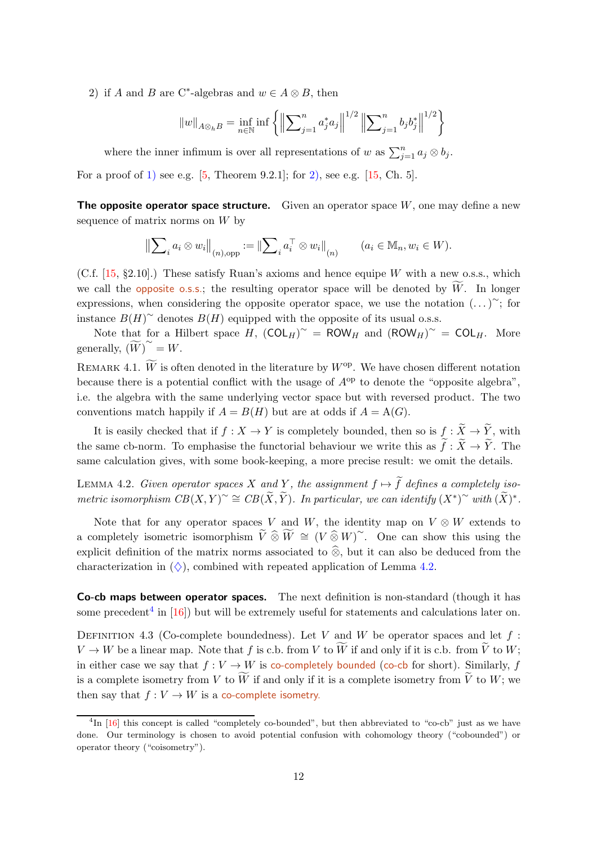<span id="page-11-0"></span>2) if A and B are C<sup>\*</sup>-algebras and  $w \in A \otimes B$ , then

$$
||w||_{A\otimes_h B} = \inf_{n\in\mathbb{N}} \inf \left\{ \left\| \sum_{j=1}^n a_j^* a_j \right\|^{1/2} \left\| \sum_{j=1}^n b_j b_j^* \right\|^{1/2} \right\}
$$

where the inner infimum is over all representations of w as  $\sum_{j=1}^{n} a_j \otimes b_j$ .

For a proof of [1\)](#page-10-2) see e.g.  $[5,$  Theorem 9.2.1]; for [2\),](#page-11-0) see e.g.  $[15,$  Ch. 5].

**The opposite operator space structure.** Given an operator space  $W$ , one may define a new sequence of matrix norms on  $W$  by

$$
\left\|\sum_{i} a_i \otimes w_i\right\|_{(n),\text{opp}} := \left\|\sum_{i} a_i^{\top} \otimes w_i\right\|_{(n)} \qquad (a_i \in \mathbb{M}_n, w_i \in W).
$$

(C.f.  $[15, §2.10]$ .) These satisfy Ruan's axioms and hence equipe W with a new o.s.s., which we call the opposite o.s.s.; the resulting operator space will be denoted by  $W$ . In longer expressions, when considering the opposite operator space, we use the notation  $(\dots)^{\sim}$ ; for instance  $B(H)^\sim$  denotes  $B(H)$  equipped with the opposite of its usual o.s.s.

Note that for a Hilbert space H,  $(COL_H)^\sim = ROW_H$  and  $(ROW_H)^\sim = COL_H$ . More generally,  $(\widetilde{W})^{\sim} = W.$ 

REMARK 4.1.  $\widetilde{W}$  is often denoted in the literature by  $W^{\text{op}}$ . We have chosen different notation because there is a potential conflict with the usage of  $A^{op}$  to denote the "opposite algebra", i.e. the algebra with the same underlying vector space but with reversed product. The two conventions match happily if  $A = B(H)$  but are at odds if  $A = A(G)$ .

It is easily checked that if  $f : X \to Y$  is completely bounded, then so is  $f : \widetilde{X} \to \widetilde{Y}$ , with the same cb-norm. To emphasise the functorial behaviour we write this as  $\tilde{f}: \tilde{X} \to \tilde{Y}$ . The same calculation gives, with some book-keeping, a more precise result: we omit the details.

<span id="page-11-1"></span>LEMMA 4.2. Given operator spaces X and Y, the assignment  $f \mapsto \tilde{f}$  defines a completely isometric isomorphism  $CB(X, Y)^{\sim} \cong CB(\widetilde{X}, \widetilde{Y})$ . In particular, we can identify  $(X^*)^{\sim}$  with  $(\widetilde{X})^*$ .

Note that for any operator spaces V and W, the identity map on  $V \otimes W$  extends to a completely isometric isomorphism  $\widetilde{V} \widehat{\otimes} \widetilde{W} \cong (V \widehat{\otimes} W)^{\sim}$ . One can show this using the explicit definition of the matrix norms associated to  $\hat{\otimes}$ , but it can also be deduced from the characterization in  $(\Diamond)$ , combined with repeated application of Lemma [4.2.](#page-11-1)

Co-cb maps between operator spaces. The next definition is non-standard (though it has some precedent<sup>[4](#page-11-2)</sup> in  $[16]$ ) but will be extremely useful for statements and calculations later on.

DEFINITION 4.3 (Co-complete boundedness). Let V and W be operator spaces and let  $f$ :  $V \to W$  be a linear map. Note that f is c.b. from V to  $\widetilde{W}$  if and only if it is c.b. from  $\widetilde{V}$  to W; in either case we say that  $f: V \to W$  is co-completely bounded (co-cb for short). Similarly, f is a complete isometry from V to  $\widetilde{W}$  if and only if it is a complete isometry from  $\widetilde{V}$  to W; we then say that  $f: V \to W$  is a co-complete isometry.

<span id="page-11-2"></span> ${}^{4}\text{In}$  [\[16\]](#page-23-13) this concept is called "completely co-bounded", but then abbreviated to "co-cb" just as we have done. Our terminology is chosen to avoid potential confusion with cohomology theory ("cobounded") or operator theory ("coisometry").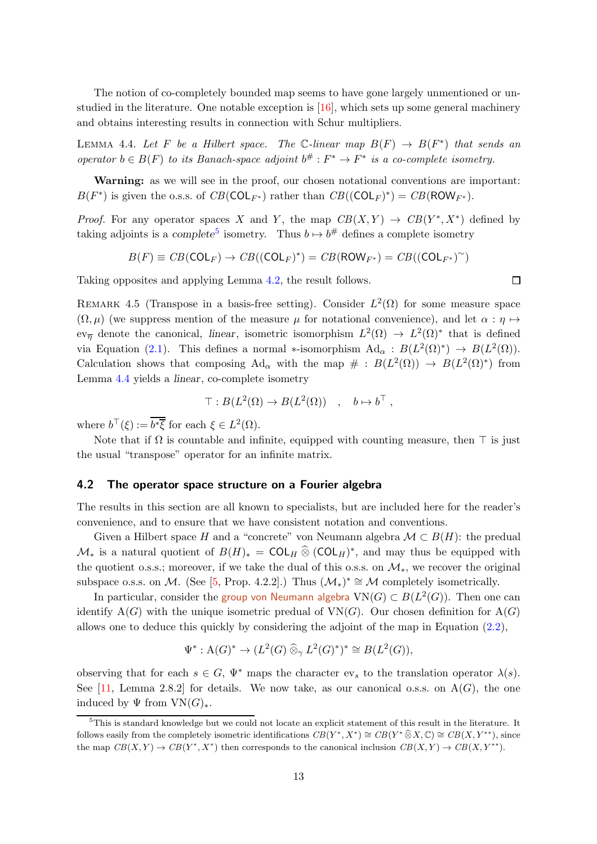The notion of co-completely bounded map seems to have gone largely unmentioned or unstudied in the literature. One notable exception is  $[16]$ , which sets up some general machinery and obtains interesting results in connection with Schur multipliers.

<span id="page-12-1"></span>LEMMA 4.4. Let F be a Hilbert space. The C-linear map  $B(F) \rightarrow B(F^*)$  that sends an operator  $b \in B(F)$  to its Banach-space adjoint  $b^{\#}: F^* \to F^*$  is a co-complete isometry.

Warning: as we will see in the proof, our chosen notational conventions are important:  $B(F^*)$  is given the o.s.s. of  $CB(\text{COL}_{F^*})$  rather than  $CB((\text{COL}_{F})^*) = CB(\text{ROW}_{F^*})$ .

*Proof.* For any operator spaces X and Y, the map  $CB(X,Y) \rightarrow CB(Y^*,X^*)$  defined by taking adjoints is a complete<sup>[5](#page-12-0)</sup> isometry. Thus  $b \mapsto b^{\#}$  defines a complete isometry

$$
B(F) \equiv CB(\text{COL}_F) \rightarrow CB((\text{COL}_F)^*) = CB(\text{ROW}_{F^*}) = CB((\text{COL}_{F^*})^{\sim})
$$

Taking opposites and applying Lemma [4.2,](#page-11-1) the result follows.

<span id="page-12-2"></span>REMARK 4.5 (Transpose in a basis-free setting). Consider  $L^2(\Omega)$  for some measure space  $(\Omega, \mu)$  (we suppress mention of the measure  $\mu$  for notational convenience), and let  $\alpha : \eta \mapsto$ ev<sub> $\overline{\eta}$ </sub> denote the canonical, linear, isometric isomorphism  $L^2(\Omega) \to L^2(\Omega)^*$  that is defined via Equation [\(2.1\)](#page-4-1). This defines a normal \*-isomorphism  $\text{Ad}_{\alpha}: B(L^2(\Omega)^*) \to B(L^2(\Omega)).$ Calculation shows that composing  $Ad_{\alpha}$  with the map  $\# : B(L^2(\Omega)) \to B(L^2(\Omega)^*)$  from Lemma [4.4](#page-12-1) yields a linear, co-complete isometry

$$
\top : B(L^2(\Omega) \to B(L^2(\Omega)) \quad , \quad b \mapsto b^\top ,
$$

where  $b^{\top}(\xi) := \overline{b^*\overline{\xi}}$  for each  $\xi \in L^2(\Omega)$ .

Note that if  $\Omega$  is countable and infinite, equipped with counting measure, then  $\top$  is just the usual "transpose" operator for an infinite matrix.

#### 4.2 The operator space structure on a Fourier algebra

The results in this section are all known to specialists, but are included here for the reader's convenience, and to ensure that we have consistent notation and conventions.

Given a Hilbert space H and a "concrete" von Neumann algebra  $\mathcal{M} \subset B(H)$ : the predual  $\mathcal{M}_*$  is a natural quotient of  $B(H)_* = \text{COL}_H \widehat{\otimes} (\text{COL}_H)^*$ , and may thus be equipped with the quotient o.s.s.; moreover, if we take the dual of this o.s.s. on  $\mathcal{M}_*$ , we recover the original subspace o.s.s. on M. (See [\[5,](#page-22-3) Prop. 4.2.2].) Thus  $(\mathcal{M}_*)^* \cong \mathcal{M}$  completely isometrically.

In particular, consider the group von Neumann algebra  ${\rm VN}(G)\subset B(L^2(G)).$  Then one can identify  $A(G)$  with the unique isometric predual of  $VN(G)$ . Our chosen definition for  $A(G)$ allows one to deduce this quickly by considering the adjoint of the map in Equation [\(2.2\)](#page-5-0),

$$
\Psi^* : \mathcal{A}(G)^* \to (L^2(G) \widehat{\otimes}_\gamma L^2(G)^*)^* \cong B(L^2(G)),
$$

observing that for each  $s \in G$ ,  $\Psi^*$  maps the character  $ev_s$  to the translation operator  $\lambda(s)$ . See [\[11,](#page-23-8) Lemma 2.8.2] for details. We now take, as our canonical o.s.s. on  $A(G)$ , the one induced by  $\Psi$  from  $VN(G)_*.$ 

 $\Box$ 

<span id="page-12-0"></span><sup>5</sup>This is standard knowledge but we could not locate an explicit statement of this result in the literature. It follows easily from the completely isometric identifications  $CB(Y^*, X^*) \cong CB(Y^* \widehat{\otimes} X, \mathbb{C}) \cong CB(X, Y^{**})$ , since the map  $CB(X,Y) \to CB(Y^*, X^*)$  then corresponds to the canonical inclusion  $CB(X,Y) \to CB(X, Y^*)$ .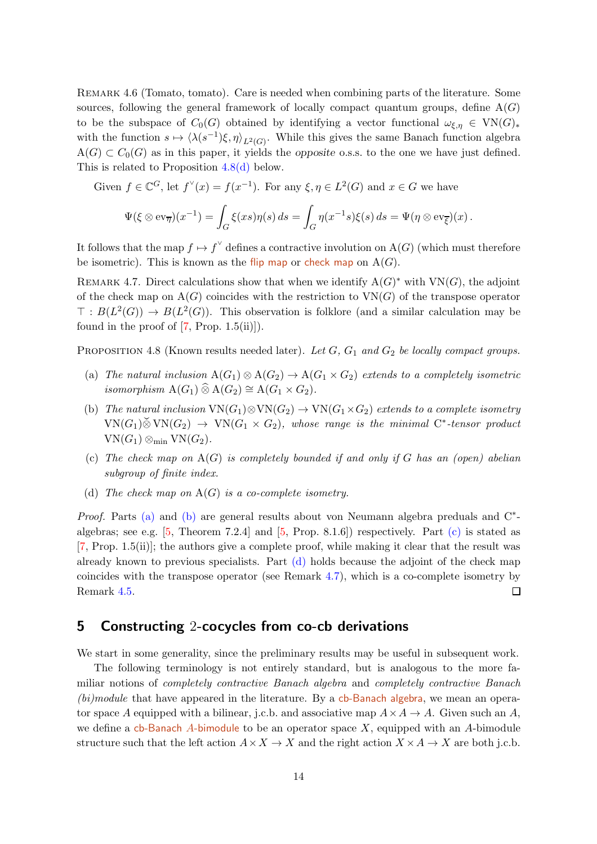REMARK 4.6 (Tomato, tomato). Care is needed when combining parts of the literature. Some sources, following the general framework of locally compact quantum groups, define  $A(G)$ to be the subspace of  $C_0(G)$  obtained by identifying a vector functional  $\omega_{\xi,\eta} \in VN(G)_*$ with the function  $s \mapsto \langle \lambda(s^{-1})\xi, \eta \rangle_{L^2(G)}$ . While this gives the same Banach function algebra  $A(G) \subset C_0(G)$  as in this paper, it yields the opposite o.s.s. to the one we have just defined. This is related to Proposition [4.8](#page-13-1)[\(d\)](#page-13-2) below.

Given  $f \in \mathbb{C}^G$ , let  $f^{\vee}(x) = f(x^{-1})$ . For any  $\xi, \eta \in L^2(G)$  and  $x \in G$  we have

$$
\Psi(\xi \otimes \mathrm{ev}_{\overline{\eta}})(x^{-1}) = \int_G \xi(xs)\eta(s) \, ds = \int_G \eta(x^{-1}s)\xi(s) \, ds = \Psi(\eta \otimes \mathrm{ev}_{\overline{\xi}})(x).
$$

It follows that the map  $f \mapsto f^{\vee}$  defines a contractive involution on  $A(G)$  (which must therefore be isometric). This is known as the flip map or check map on  $A(G)$ .

<span id="page-13-6"></span>REMARK 4.7. Direct calculations show that when we identify  $A(G)^*$  with  $VN(G)$ , the adjoint of the check map on  $A(G)$  coincides with the restriction to  $VN(G)$  of the transpose operator  $\top: B(L^2(G)) \to B(L^2(G))$ . This observation is folklore (and a similar calculation may be found in the proof of  $[7, Prop. 1.5(ii)]$ .

<span id="page-13-3"></span><span id="page-13-1"></span>PROPOSITION 4.8 (Known results needed later). Let  $G$ ,  $G_1$  and  $G_2$  be locally compact groups.

- <span id="page-13-4"></span>(a) The natural inclusion  $A(G_1) \otimes A(G_2) \rightarrow A(G_1 \times G_2)$  extends to a completely isometric isomorphism  $A(G_1) \widehat{\otimes} A(G_2) \cong A(G_1 \times G_2)$ .
- (b) The natural inclusion  $VN(G_1) \otimes VN(G_2) \rightarrow VN(G_1 \times G_2)$  extends to a complete isometry  $VN(G_1) \breve{\otimes} VN(G_2) \rightarrow VN(G_1 \times G_2)$ , whose range is the minimal C<sup>\*</sup>-tensor product  $VN(G_1) \otimes_{\min} VN(G_2).$
- <span id="page-13-5"></span><span id="page-13-2"></span>(c) The check map on  $A(G)$  is completely bounded if and only if G has an (open) abelian subgroup of finite index.
- (d) The check map on  $A(G)$  is a co-complete isometry.

*Proof.* Parts [\(a\)](#page-13-3) and [\(b\)](#page-13-4) are general results about von Neumann algebra preduals and  $C^*$ algebras; see e.g.  $[5,$  Theorem 7.2.4] and  $[5,$  Prop. 8.1.6]) respectively. Part  $(c)$  is stated as [\[7,](#page-22-2) Prop. 1.5(ii)]; the authors give a complete proof, while making it clear that the result was already known to previous specialists. Part [\(d\)](#page-13-2) holds because the adjoint of the check map coincides with the transpose operator (see Remark [4.7\)](#page-13-6), which is a co-complete isometry by Remark [4.5.](#page-12-2)  $\Box$ 

# <span id="page-13-0"></span>5 Constructing 2-cocycles from co-cb derivations

We start in some generality, since the preliminary results may be useful in subsequent work.

The following terminology is not entirely standard, but is analogous to the more familiar notions of completely contractive Banach algebra and completely contractive Banach  $(bi)$  module that have appeared in the literature. By a cb-Banach algebra, we mean an operator space A equipped with a bilinear, j.c.b. and associative map  $A \times A \rightarrow A$ . Given such an A, we define a cb-Banach A-bimodule to be an operator space  $X$ , equipped with an A-bimodule structure such that the left action  $A \times X \to X$  and the right action  $X \times A \to X$  are both j.c.b.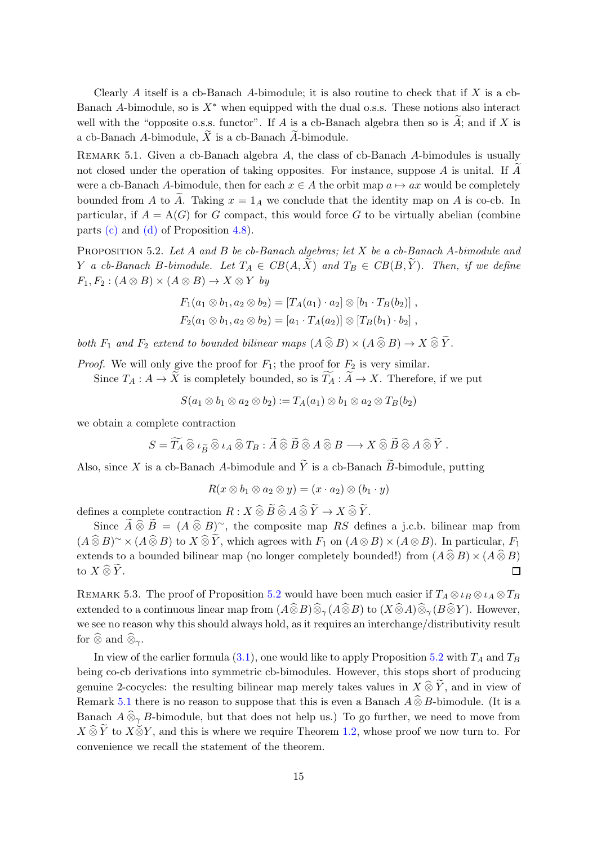Clearly  $A$  itself is a cb-Banach  $A$ -bimodule; it is also routine to check that if  $X$  is a cb-Banach A-bimodule, so is  $X^*$  when equipped with the dual o.s.s. These notions also interact well with the "opposite o.s.s. functor". If A is a cb-Banach algebra then so is  $\widetilde{A}$ ; and if X is a cb-Banach A-bimodule,  $\overline{X}$  is a cb-Banach A-bimodule.

<span id="page-14-1"></span>REMARK 5.1. Given a cb-Banach algebra  $A$ , the class of cb-Banach  $A$ -bimodules is usually not closed under the operation of taking opposites. For instance, suppose  $A$  is unital. If  $A$ were a cb-Banach A-bimodule, then for each  $x \in A$  the orbit map  $a \mapsto ax$  would be completely bounded from A to A. Taking  $x = 1_A$  we conclude that the identity map on A is co-cb. In particular, if  $A = A(G)$  for G compact, this would force G to be virtually abelian (combine parts [\(c\)](#page-13-5) and [\(d\)](#page-13-2) of Proposition [4.8\)](#page-13-1).

<span id="page-14-0"></span>PROPOSITION 5.2. Let A and B be cb-Banach algebras; let X be a cb-Banach A-bimodule and Y a cb-Banach B-bimodule. Let  $T_A \in CB(A, \tilde{X})$  and  $T_B \in CB(B, \tilde{Y})$ . Then, if we define  $F_1, F_2 : (A \otimes B) \times (A \otimes B) \rightarrow X \otimes Y$  by

$$
F_1(a_1 \otimes b_1, a_2 \otimes b_2) = [T_A(a_1) \cdot a_2] \otimes [b_1 \cdot T_B(b_2)],
$$
  
\n
$$
F_2(a_1 \otimes b_1, a_2 \otimes b_2) = [a_1 \cdot T_A(a_2)] \otimes [T_B(b_1) \cdot b_2],
$$

both  $F_1$  and  $F_2$  extend to bounded bilinear maps  $(A\mathbin{\widehat{\otimes}} B) \times (A\mathbin{\widehat{\otimes}} B) \to X\mathbin{\widehat{\otimes}} \widetilde{Y}$ .

*Proof.* We will only give the proof for  $F_1$ ; the proof for  $F_2$  is very similar.

Since  $T_A: A \to \tilde{X}$  is completely bounded, so is  $\widetilde{T}_A: \widetilde{A} \to X$ . Therefore, if we put

 $S(a_1 \otimes b_1 \otimes a_2 \otimes b_2) := T_A(a_1) \otimes b_1 \otimes a_2 \otimes T_B(b_2)$ 

we obtain a complete contraction

$$
S=\widetilde{T_A}\mathbin{\widehat{\otimes}}\iota_{\widetilde{B}}\mathbin{\widehat{\otimes}}\iota_A\mathbin{\widehat{\otimes}} T_B:\widetilde{A}\mathbin{\widehat{\otimes}}\widetilde{B}\mathbin{\widehat{\otimes}} A\mathbin{\widehat{\otimes}} B\longrightarrow X\mathbin{\widehat{\otimes}}\widetilde{B}\mathbin{\widehat{\otimes}} A\mathbin{\widehat{\otimes}} \widetilde{Y}\;.
$$

Also, since X is a cb-Banach A-bimodule and  $\widetilde{Y}$  is a cb-Banach  $\widetilde{B}$ -bimodule, putting

$$
R(x\otimes b_1\otimes a_2\otimes y)=(x\cdot a_2)\otimes (b_1\cdot y)
$$

defines a complete contraction  $R: X \widehat{\otimes} \widetilde{B} \widehat{\otimes} A \widehat{\otimes} \widetilde{Y} \rightarrow X \widehat{\otimes} \widetilde{Y}$ .

Since  $\widetilde{A} \widehat{\otimes} \widetilde{B} = (A \widehat{\otimes} B)^{\sim}$ , the composite map RS defines a j.c.b. bilinear map from  $(A\widehat{\otimes} B)^{\sim}\times (A\widehat{\otimes} B)$  to  $X\widehat{\otimes} \widetilde{Y}$ , which agrees with  $F_1$  on  $(A\otimes B)\times (A\otimes B)$ . In particular,  $F_1$ extends to a bounded bilinear map (no longer completely bounded!) from  $(A \widehat{\otimes} B) \times (A \widehat{\otimes} B)$ <br>to  $X \widehat{\otimes} \widetilde{Y}$ . to  $X \widehat{\otimes} \widetilde{Y}$ .

REMARK 5.3. The proof of Proposition [5.2](#page-14-0) would have been much easier if  $T_A \otimes \iota_B \otimes \iota_A \otimes T_B$ extended to a continuous linear map from  $(A\widehat{\otimes} B)\widehat{\otimes}_{\gamma}(A\widehat{\otimes} B)$  to  $(X\widehat{\otimes} A)\widehat{\otimes}_{\gamma}(B\widehat{\otimes} Y)$ . However, we see no reason why this should always hold, as it requires an interchange/distributivity result for  $\widehat{\otimes}$  and  $\widehat{\otimes}_{\gamma}$ .

In view of the earlier formula  $(3.1)$ , one would like to apply Proposition [5.2](#page-14-0) with  $T_A$  and  $T_B$ being co-cb derivations into symmetric cb-bimodules. However, this stops short of producing genuine 2-cocycles: the resulting bilinear map merely takes values in  $X\hat{\otimes}\tilde{Y}$ , and in view of Remark [5.1](#page-14-1) there is no reason to suppose that this is even a Banach  $A \widehat{\otimes} B$ -bimodule. (It is a Banach  $A \widehat{\otimes}_{\gamma} B$ -bimodule, but that does not help us.) To go further, we need to move from  $X \widehat{\otimes} \widetilde{Y}$  to  $X \check{\otimes} Y$ , and this is where we require Theorem [1.2,](#page-1-1) whose proof we now turn to. For convenience we recall the statement of the theorem.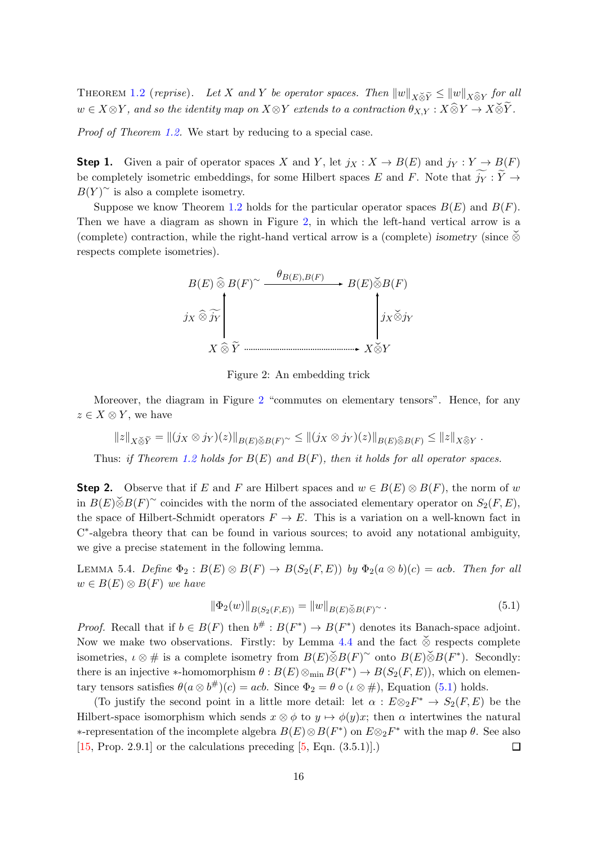THEOREM [1.2](#page-1-1) (reprise). Let X and Y be operator spaces. Then  $||w||_{X\check{\otimes}\tilde{Y}} \leq ||w||_{X\widehat{\otimes}Y}$  for all  $w \in X \otimes Y$ , and so the identity map on  $X \otimes Y$  extends to a contraction  $\theta_{X,Y} : X \widehat{\otimes} Y \to X \check{\otimes} \widetilde{Y}$ .

Proof of Theorem [1.2.](#page-1-1) We start by reducing to a special case.

**Step 1.** Given a pair of operator spaces X and Y, let  $j_X : X \to B(E)$  and  $j_Y : Y \to B(F)$ be completely isometric embeddings, for some Hilbert spaces E and F. Note that  $\widetilde{j_Y} : \widetilde{Y} \to$  $B(Y)$ <sup>~</sup> is also a complete isometry.

Suppose we know Theorem [1.2](#page-1-1) holds for the particular operator spaces  $B(E)$  and  $B(F)$ . Then we have a diagram as shown in Figure [2,](#page-15-0) in which the left-hand vertical arrow is a (complete) contraction, while the right-hand vertical arrow is a (complete) isometry (since  $\delta$ respects complete isometries).



<span id="page-15-0"></span>Figure 2: An embedding trick

Moreover, the diagram in Figure [2](#page-15-0) "commutes on elementary tensors". Hence, for any  $z \in X \otimes Y$ , we have

$$
||z||_{X\tilde{\otimes}\tilde{Y}}=||(j_X\otimes j_Y)(z)||_{B(E)\tilde{\otimes}B(F)}\leq ||(j_X\otimes j_Y)(z)||_{B(E)\tilde{\otimes}B(F)}\leq ||z||_{X\tilde{\otimes}Y}.
$$

Thus: if Theorem [1.2](#page-1-1) holds for  $B(E)$  and  $B(F)$ , then it holds for all operator spaces.

**Step 2.** Observe that if E and F are Hilbert spaces and  $w \in B(E) \otimes B(F)$ , the norm of w in  $B(E)\tilde{\otimes}B(F)$ <sup>∼</sup> coincides with the norm of the associated elementary operator on  $S_2(F, E)$ , the space of Hilbert-Schmidt operators  $F \to E$ . This is a variation on a well-known fact in C<sup>\*</sup>-algebra theory that can be found in various sources; to avoid any notational ambiguity, we give a precise statement in the following lemma.

LEMMA 5.4. Define  $\Phi_2 : B(E) \otimes B(F) \to B(S_2(F, E))$  by  $\Phi_2(a \otimes b)(c) = acb$ . Then for all  $w \in B(E) \otimes B(F)$  we have

<span id="page-15-1"></span>
$$
\|\Phi_2(w)\|_{B(S_2(F,E))} = \|w\|_{B(E)\breve{\otimes}B(F)} \, . \tag{5.1}
$$

*Proof.* Recall that if  $b \in B(F)$  then  $b^{\#}: B(F^*) \to B(F^*)$  denotes its Banach-space adjoint. Now we make two observations. Firstly: by Lemma [4.4](#page-12-1) and the fact  $\check{\otimes}$  respects complete isometries,  $\iota \otimes \#$  is a complete isometry from  $B(E)\check{\otimes}B(F)$ <sup>~</sup> onto  $B(E)\check{\otimes}B(F^*)$ . Secondly: there is an injective \*-homomorphism  $\theta : B(E) \otimes_{min} B(F^*) \to B(S_2(F, E))$ , which on elementary tensors satisfies  $\theta(a \otimes b^{\#})(c) = acb$ . Since  $\Phi_2 = \theta \circ (\iota \otimes \#)$ , Equation [\(5.1\)](#page-15-1) holds.

(To justify the second point in a little more detail: let  $\alpha : E \otimes_2 F^* \to S_2(F, E)$  be the Hilbert-space isomorphism which sends  $x \otimes \phi$  to  $y \mapsto \phi(y)x$ ; then  $\alpha$  intertwines the natural  $*$ -representation of the incomplete algebra  $B(E) \otimes B(F^*)$  on  $E \otimes_2 F^*$  with the map θ. See also [\[15,](#page-23-7) Prop. 2.9.1] or the calculations preceding [\[5,](#page-22-3) Eqn. (3.5.1)].)  $\Box$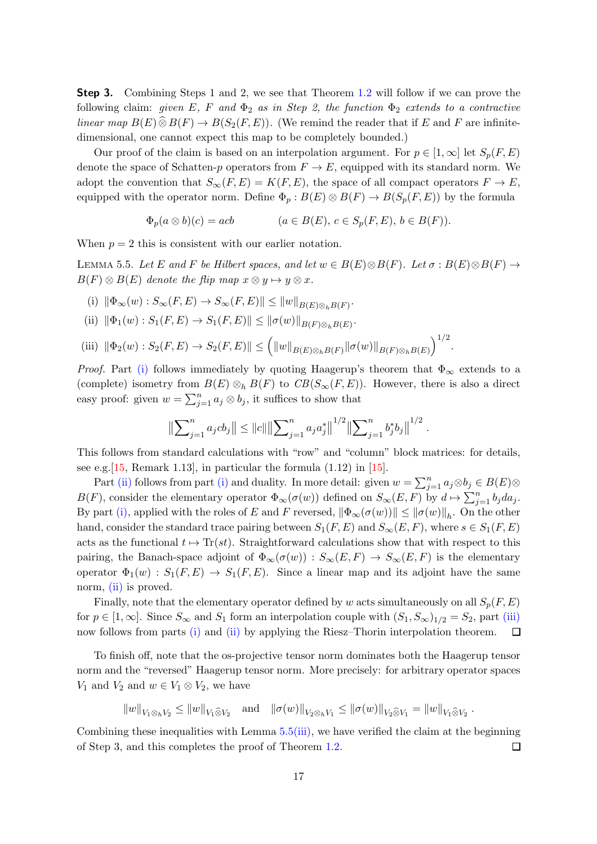**Step 3.** Combining Steps 1 and 2, we see that Theorem [1.2](#page-1-1) will follow if we can prove the following claim: given E, F and  $\Phi_2$  as in Step 2, the function  $\Phi_2$  extends to a contractive linear map  $B(E) \widehat{\otimes} B(F) \to B(S_2(F, E))$ . (We remind the reader that if E and F are infinitedimensional, one cannot expect this map to be completely bounded.)

Our proof of the claim is based on an interpolation argument. For  $p \in [1,\infty]$  let  $S_p(F, E)$ denote the space of Schatten-p operators from  $F \to E$ , equipped with its standard norm. We adopt the convention that  $S_{\infty}(F, E) = K(F, E)$ , the space of all compact operators  $F \to E$ , equipped with the operator norm. Define  $\Phi_p : B(E) \otimes B(F) \to B(S_p(F, E))$  by the formula

$$
\Phi_p(a \otimes b)(c) = acb \qquad (a \in B(E), c \in S_p(F, E), b \in B(F)).
$$

When  $p = 2$  this is consistent with our earlier notation.

<span id="page-16-3"></span><span id="page-16-0"></span>LEMMA 5.5. Let E and F be Hilbert spaces, and let  $w \in B(E) \otimes B(F)$ . Let  $\sigma : B(E) \otimes B(F) \rightarrow$  $B(F) \otimes B(E)$  denote the flip map  $x \otimes y \mapsto y \otimes x$ .

- <span id="page-16-1"></span>(i)  $\|\Phi_{\infty}(w): S_{\infty}(F, E) \to S_{\infty}(F, E)\| \leq ||w||_{B(E) \otimes_h B(F)}.$
- <span id="page-16-2"></span>(ii)  $\|\Phi_1(w): S_1(F, E) \to S_1(F, E)\| \le \|\sigma(w)\|_{B(F)\otimes_h B(E)}.$
- (iii)  $\|\Phi_2(w): S_2(F, E) \to S_2(F, E)\| \leq (||w||_{B(E) \otimes_h B(F)} ||\sigma(w)||_{B(F) \otimes_h B(E)})^{1/2}.$

*Proof.* Part [\(i\)](#page-16-0) follows immediately by quoting Haagerup's theorem that  $\Phi_{\infty}$  extends to a (complete) isometry from  $B(E) \otimes_h B(F)$  to  $CB(S_{\infty}(F, E))$ . However, there is also a direct easy proof: given  $w = \sum_{j=1}^n a_j \otimes b_j$ , it suffices to show that

$$
\left\|\sum_{j=1}^n a_j cb_j\right\| \leq \|c\| \left\|\sum_{j=1}^n a_j a_j^*\right\|^{1/2} \left\|\sum_{j=1}^n b_j^* b_j\right\|^{1/2}.
$$

This follows from standard calculations with "row" and "column" block matrices: for details, see e.g.  $[15,$  Remark 1.13], in particular the formula  $(1.12)$  in  $[15]$ .

Part [\(ii\)](#page-16-1) follows from part [\(i\)](#page-16-0) and duality. In more detail: given  $w = \sum_{j=1}^{n} a_j \otimes b_j \in B(E) \otimes$  $B(F)$ , consider the elementary operator  $\Phi_{\infty}(\sigma(w))$  defined on  $S_{\infty}(E, F)$  by  $d \mapsto \sum_{j=1}^{n} b_j da_j$ . By part [\(i\),](#page-16-0) applied with the roles of E and F reversed,  $\|\Phi_\infty(\sigma(w))\| \le \|\sigma(w)\|_h$ . On the other hand, consider the standard trace pairing between  $S_1(F, E)$  and  $S_{\infty}(E, F)$ , where  $s \in S_1(F, E)$ acts as the functional  $t \mapsto \text{Tr}(st)$ . Straightforward calculations show that with respect to this pairing, the Banach-space adjoint of  $\Phi_{\infty}(\sigma(w)) : S_{\infty}(E, F) \to S_{\infty}(E, F)$  is the elementary operator  $\Phi_1(w)$ :  $S_1(F, E) \to S_1(F, E)$ . Since a linear map and its adjoint have the same norm, [\(ii\)](#page-16-1) is proved.

Finally, note that the elementary operator defined by w acts simultaneously on all  $S_p(F, E)$ for  $p \in [1,\infty]$ . Since  $S_{\infty}$  and  $S_1$  form an interpolation couple with  $(S_1, S_{\infty})_{1/2} = S_2$ , part [\(iii\)](#page-16-2) now follows from parts [\(i\)](#page-16-0) and [\(ii\)](#page-16-1) by applying the Riesz–Thorin interpolation theorem.  $\Box$ 

To finish off, note that the os-projective tensor norm dominates both the Haagerup tensor norm and the "reversed" Haagerup tensor norm. More precisely: for arbitrary operator spaces  $V_1$  and  $V_2$  and  $w \in V_1 \otimes V_2$ , we have

 $||w||_{V_1 \otimes_h V_2} \le ||w||_{V_1 \widehat{\otimes} V_2}$  and  $||\sigma(w)||_{V_2 \otimes_h V_1} \le ||\sigma(w)||_{V_2 \widehat{\otimes} V_1} = ||w||_{V_1 \widehat{\otimes} V_2}$ .

Combining these inequalities with Lemma  $5.5(iii)$  $5.5(iii)$ , we have verified the claim at the beginning of Step 3, and this completes the proof of Theorem [1.2.](#page-1-1)  $\Box$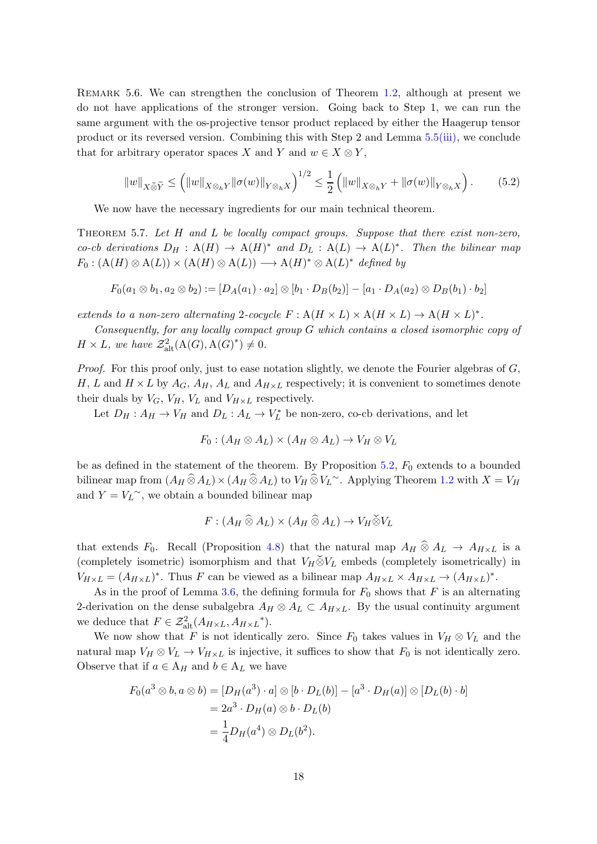<span id="page-17-1"></span>REMARK 5.6. We can strengthen the conclusion of Theorem [1.2,](#page-1-1) although at present we do not have applications of the stronger version. Going back to Step 1, we can run the same argument with the os-projective tensor product replaced by either the Haagerup tensor product or its reversed version. Combining this with Step 2 and Lemma [5.5](#page-16-3)[\(iii\),](#page-16-2) we conclude that for arbitrary operator spaces X and Y and  $w \in X \otimes Y$ ,

$$
||w||_{X \check{\otimes} \widetilde{Y}} \le (||w||_{X \otimes_h Y} ||\sigma(w)||_{Y \otimes_h X})^{1/2} \le \frac{1}{2} (||w||_{X \otimes_h Y} + ||\sigma(w)||_{Y \otimes_h X}). \tag{5.2}
$$

We now have the necessary ingredients for our main technical theorem.

<span id="page-17-0"></span>Theorem 5.7. Let H and L be locally compact groups. Suppose that there exist non-zero, co-cb derivations  $D_H : A(H) \to A(H)^*$  and  $D_L : A(L) \to A(L)^*$ . Then the bilinear map  $F_0: (\mathcal{A}(H) \otimes \mathcal{A}(L)) \times (\mathcal{A}(H) \otimes \mathcal{A}(L)) \longrightarrow \mathcal{A}(H)^* \otimes \mathcal{A}(L)^*$  defined by

$$
F_0(a_1 \otimes b_1, a_2 \otimes b_2) := [D_A(a_1) \cdot a_2] \otimes [b_1 \cdot D_B(b_2)] - [a_1 \cdot D_A(a_2) \otimes D_B(b_1) \cdot b_2]
$$

extends to a non-zero alternating 2-cocycle  $F: A(H \times L) \times A(H \times L) \rightarrow A(H \times L)^*$ .

Consequently, for any locally compact group G which contains a closed isomorphic copy of  $H \times L$ , we have  $\mathcal{Z}_{\text{alt}}^2(\mathcal{A}(G), \mathcal{A}(G)^*) \neq 0$ .

*Proof.* For this proof only, just to ease notation slightly, we denote the Fourier algebras of  $G$ , H, L and  $H \times L$  by  $A_G$ ,  $A_H$ ,  $A_L$  and  $A_{H \times L}$  respectively; it is convenient to sometimes denote their duals by  $V_G$ ,  $V_H$ ,  $V_L$  and  $V_{H \times L}$  respectively.

Let  $D_H: A_H \to V_H$  and  $D_L: A_L \to V_L^*$  $L^*$  be non-zero, co-cb derivations, and let

$$
F_0: (A_H \otimes A_L) \times (A_H \otimes A_L) \to V_H \otimes V_L
$$

be as defined in the statement of the theorem. By Proposition  $5.2$ ,  $F_0$  extends to a bounded bilinear map from  $(A_H \widehat{\otimes} A_L) \times (A_H \widehat{\otimes} A_L)$  to  $V_H \widehat{\otimes} V_L$ <sup>∼</sup>. Applying Theorem [1.2](#page-1-1) with  $X = V_H$ and  $Y = V_L^{\sim}$ , we obtain a bounded bilinear map

$$
F: (A_H \mathbin{\widehat{\otimes}} A_L) \times (A_H \mathbin{\widehat{\otimes}} A_L) \to V_H \mathbin{\widehat{\otimes}} V_L
$$

that extends  $F_0$ . Recall (Proposition [4.8\)](#page-13-1) that the natural map  $A_H \otimes A_L \rightarrow A_{H \times L}$  is a (completely isometric) isomorphism and that  $V_H\breve{\otimes} V_L$  embeds (completely isometrically) in  $V_{H\times L} = (A_{H\times L})^*$ . Thus F can be viewed as a bilinear map  $A_{H\times L} \times A_{H\times L} \to (A_{H\times L})^*$ .

As in the proof of Lemma [3.6,](#page-8-2) the defining formula for  $F_0$  shows that F is an alternating 2-derivation on the dense subalgebra  $A_H \otimes A_L \subset A_{H \times L}$ . By the usual continuity argument we deduce that  $F \in \mathcal{Z}_{\text{alt}}^2(A_{H \times L}, A_{H \times L}^*)$ .

We now show that F is not identically zero. Since  $F_0$  takes values in  $V_H \otimes V_L$  and the natural map  $V_H \otimes V_L \to V_{H \times L}$  is injective, it suffices to show that  $F_0$  is not identically zero. Observe that if  $a \in A_H$  and  $b \in A_L$  we have

$$
F_0(a^3 \otimes b, a \otimes b) = [D_H(a^3) \cdot a] \otimes [b \cdot D_L(b)] - [a^3 \cdot D_H(a)] \otimes [D_L(b) \cdot b]
$$
  
=  $2a^3 \cdot D_H(a) \otimes b \cdot D_L(b)$   
=  $\frac{1}{4}D_H(a^4) \otimes D_L(b^2)$ .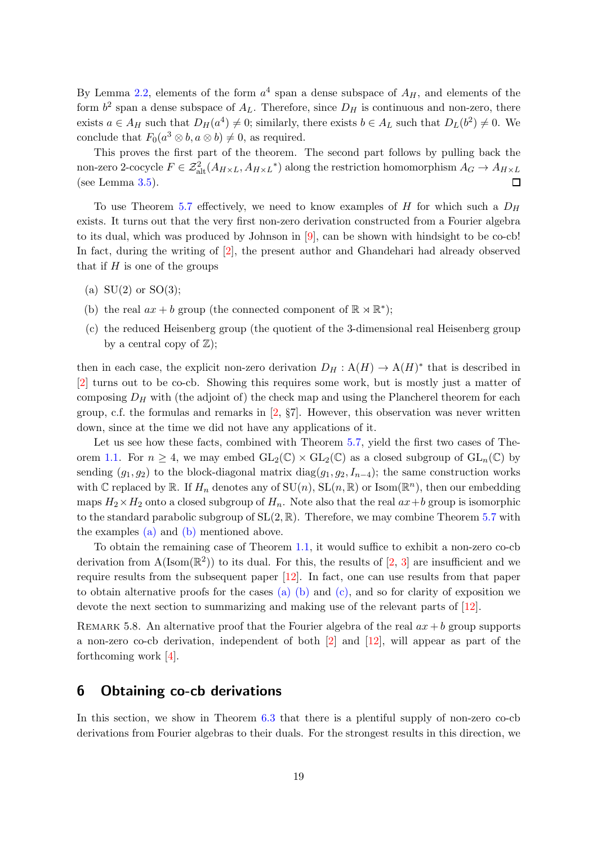By Lemma [2.2,](#page-5-1) elements of the form  $a<sup>4</sup>$  span a dense subspace of  $A_H$ , and elements of the form  $b^2$  span a dense subspace of  $A_L$ . Therefore, since  $D_H$  is continuous and non-zero, there exists  $a \in A_H$  such that  $D_H(a^4) \neq 0$ ; similarly, there exists  $b \in A_L$  such that  $D_L(b^2) \neq 0$ . We conclude that  $F_0(a^3 \otimes b, a \otimes b) \neq 0$ , as required.

This proves the first part of the theorem. The second part follows by pulling back the non-zero 2-cocycle  $F \in \mathcal{Z}_{\text{alt}}^2(A_{H \times L}, A_{H \times L}^*)$  along the restriction homomorphism  $A_G \to A_{H \times L}$ (see Lemma [3.5\)](#page-8-0).  $\Box$ 

To use Theorem [5.7](#page-17-0) effectively, we need to know examples of  $H$  for which such a  $D_H$ exists. It turns out that the very first non-zero derivation constructed from a Fourier algebra to its dual, which was produced by Johnson in [\[9\]](#page-23-2), can be shown with hindsight to be co-cb! In fact, during the writing of [\[2\]](#page-22-0), the present author and Ghandehari had already observed that if  $H$  is one of the groups

- <span id="page-18-2"></span><span id="page-18-1"></span>(a)  $SU(2)$  or  $SO(3)$ ;
- <span id="page-18-3"></span>(b) the real  $ax + b$  group (the connected component of  $\mathbb{R} \rtimes \mathbb{R}^*$ );
- (c) the reduced Heisenberg group (the quotient of the 3-dimensional real Heisenberg group by a central copy of  $\mathbb{Z}$ );

then in each case, the explicit non-zero derivation  $D_H: A(H) \to A(H)^*$  that is described in [\[2\]](#page-22-0) turns out to be co-cb. Showing this requires some work, but is mostly just a matter of composing  $D_H$  with (the adjoint of) the check map and using the Plancherel theorem for each group, c.f. the formulas and remarks in  $[2, \S7]$ . However, this observation was never written down, since at the time we did not have any applications of it.

Let us see how these facts, combined with Theorem [5.7,](#page-17-0) yield the first two cases of The-orem [1.1.](#page-1-0) For  $n \geq 4$ , we may embed  $GL_2(\mathbb{C}) \times GL_2(\mathbb{C})$  as a closed subgroup of  $GL_n(\mathbb{C})$  by sending  $(g_1, g_2)$  to the block-diagonal matrix diag $(g_1, g_2, I_{n-4})$ ; the same construction works with C replaced by R. If  $H_n$  denotes any of  $\mathrm{SU}(n)$ ,  $\mathrm{SL}(n,\mathbb{R})$  or  $\mathrm{Isom}(\mathbb{R}^n)$ , then our embedding maps  $H_2 \times H_2$  onto a closed subgroup of  $H_n$ . Note also that the real  $ax+b$  group is isomorphic to the standard parabolic subgroup of  $SL(2,\mathbb{R})$ . Therefore, we may combine Theorem [5.7](#page-17-0) with the examples [\(a\)](#page-18-1) and [\(b\)](#page-19-0) mentioned above.

To obtain the remaining case of Theorem [1.1,](#page-1-0) it would suffice to exhibit a non-zero co-cb derivation from  $A(\text{Isom}(\mathbb{R}^2))$  to its dual. For this, the results of  $[2, 3]$  $[2, 3]$  are insufficient and we require results from the subsequent paper [\[12\]](#page-23-0). In fact, one can use results from that paper to obtain alternative proofs for the cases  $(a)$  [\(b\)](#page-18-2) and  $(c)$ , and so for clarity of exposition we devote the next section to summarizing and making use of the relevant parts of [\[12\]](#page-23-0).

REMARK 5.8. An alternative proof that the Fourier algebra of the real  $ax + b$  group supports a non-zero co-cb derivation, independent of both [\[2\]](#page-22-0) and [\[12\]](#page-23-0), will appear as part of the forthcoming work [\[4\]](#page-22-6).

## <span id="page-18-0"></span>6 Obtaining co-cb derivations

In this section, we show in Theorem [6.3](#page-20-0) that there is a plentiful supply of non-zero co-cb derivations from Fourier algebras to their duals. For the strongest results in this direction, we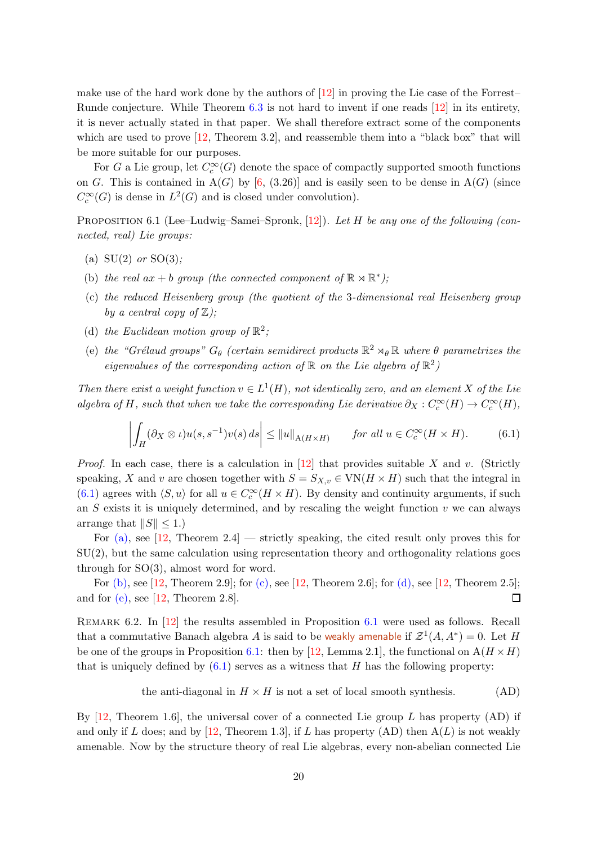make use of the hard work done by the authors of [\[12\]](#page-23-0) in proving the Lie case of the Forrest– Runde conjecture. While Theorem [6.3](#page-20-0) is not hard to invent if one reads [\[12\]](#page-23-0) in its entirety, it is never actually stated in that paper. We shall therefore extract some of the components which are used to prove  $[12,$  Theorem 3.2, and reassemble them into a "black box" that will be more suitable for our purposes.

For G a Lie group, let  $C_c^{\infty}(G)$  denote the space of compactly supported smooth functions on G. This is contained in  $A(G)$  by [\[6,](#page-22-4) (3.26)] and is easily seen to be dense in  $A(G)$  (since  $C_c^{\infty}(G)$  is dense in  $L^2(G)$  and is closed under convolution).

<span id="page-19-6"></span><span id="page-19-2"></span>PROPOSITION 6.1 (Lee–Ludwig–Samei–Spronk, [\[12\]](#page-23-0)). Let H be any one of the following (connected, real) Lie groups:

- <span id="page-19-0"></span>(a)  $SU(2)$  or  $SO(3)$ ;
- <span id="page-19-3"></span>(b) the real  $ax + b$  group (the connected component of  $\mathbb{R} \rtimes \mathbb{R}^*$ );
- <span id="page-19-4"></span>(c) the reduced Heisenberg group (the quotient of the 3-dimensional real Heisenberg group by a central copy of  $\mathbb{Z}$ );
- <span id="page-19-5"></span>(d) the Euclidean motion group of  $\mathbb{R}^2$ ;
- (e) the "Grélaud groups"  $G_{\theta}$  (certain semidirect products  $\mathbb{R}^2 \rtimes_{\theta} \mathbb{R}$  where  $\theta$  parametrizes the eigenvalues of the corresponding action of  $\mathbb R$  on the Lie algebra of  $\mathbb R^2$ )

Then there exist a weight function  $v \in L^1(H)$ , not identically zero, and an element X of the Lie algebra of H, such that when we take the corresponding Lie derivative  $\partial_X : C_c^{\infty}(H) \to C_c^{\infty}(H)$ ,

<span id="page-19-1"></span>
$$
\left| \int_H (\partial_X \otimes \iota) u(s, s^{-1}) v(s) \, ds \right| \le ||u||_{\mathcal{A}(H \times H)} \qquad \text{for all } u \in C_c^\infty(H \times H). \tag{6.1}
$$

*Proof.* In each case, there is a calculation in  $[12]$  that provides suitable X and v. (Strictly speaking, X and v are chosen together with  $S = S_{X,v} \in \text{VN}(H \times H)$  such that the integral in [\(6.1\)](#page-19-1) agrees with  $\langle S, u \rangle$  for all  $u \in C_c^{\infty}(H \times H)$ . By density and continuity arguments, if such an  $S$  exists it is uniquely determined, and by rescaling the weight function  $v$  we can always arrange that  $||S|| \leq 1.$ 

For  $(a)$ , see [\[12,](#page-23-0) Theorem 2.4] — strictly speaking, the cited result only proves this for SU(2), but the same calculation using representation theory and orthogonality relations goes through for SO(3), almost word for word.

For [\(b\),](#page-19-0) see [\[12,](#page-23-0) Theorem 2.9]; for [\(c\),](#page-19-3) see [12, Theorem 2.6]; for [\(d\),](#page-19-4) see [12, Theorem 2.5]; and for  $(e)$ , see  $[12,$  Theorem 2.8].  $\Box$ 

<span id="page-19-7"></span>REMARK 6.2. In [\[12\]](#page-23-0) the results assembled in Proposition [6.1](#page-19-6) were used as follows. Recall that a commutative Banach algebra A is said to be weakly amenable if  $\mathcal{Z}^1(A, A^*) = 0$ . Let H be one of the groups in Proposition [6.1:](#page-19-6) then by [\[12,](#page-23-0) Lemma 2.1], the functional on  $A(H \times H)$ that is uniquely defined by  $(6.1)$  serves as a witness that H has the following property:

the anti-diagonal in 
$$
H \times H
$$
 is not a set of local smooth synthesis. (AD)

By  $[12,$  Theorem 1.6, the universal cover of a connected Lie group L has property  $(AD)$  if and only if L does; and by [\[12,](#page-23-0) Theorem 1.3], if L has property (AD) then  $A(L)$  is not weakly amenable. Now by the structure theory of real Lie algebras, every non-abelian connected Lie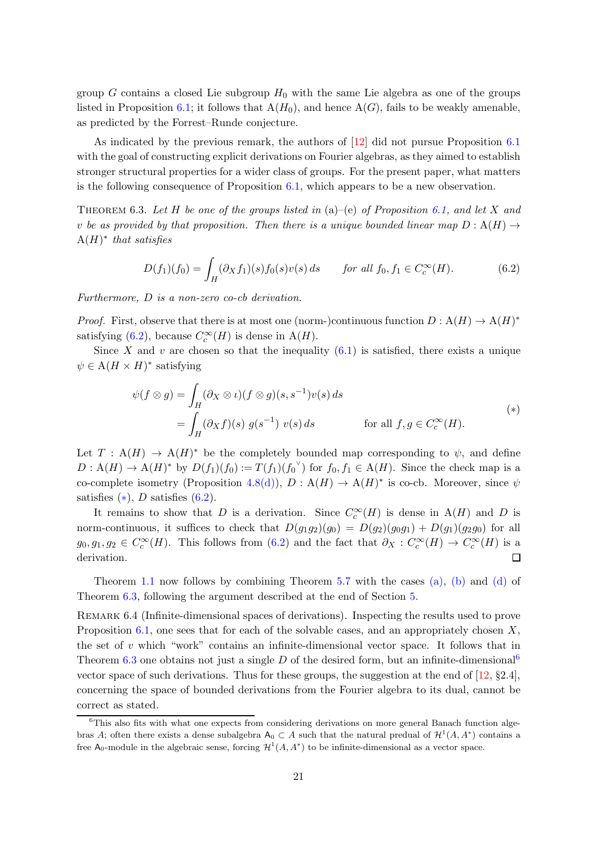group G contains a closed Lie subgroup  $H_0$  with the same Lie algebra as one of the groups listed in Proposition [6.1;](#page-19-6) it follows that  $A(H_0)$ , and hence  $A(G)$ , fails to be weakly amenable, as predicted by the Forrest–Runde conjecture.

As indicated by the previous remark, the authors of [\[12\]](#page-23-0) did not pursue Proposition [6.1](#page-19-6) with the goal of constructing explicit derivations on Fourier algebras, as they aimed to establish stronger structural properties for a wider class of groups. For the present paper, what matters is the following consequence of Proposition [6.1,](#page-19-6) which appears to be a new observation.

<span id="page-20-0"></span>THEOREM 6.3. Let H be one of the groups listed in  $(a)$ – $(e)$  of Proposition [6.1,](#page-19-6) and let X and v be as provided by that proposition. Then there is a unique bounded linear map  $D : A(H) \rightarrow$  $A(H)^*$  that satisfies

<span id="page-20-1"></span>
$$
D(f_1)(f_0) = \int_H (\partial_X f_1)(s) f_0(s) v(s) ds \quad \text{for all } f_0, f_1 \in C_c^{\infty}(H). \tag{6.2}
$$

Furthermore, D is a non-zero co-cb derivation.

*Proof.* First, observe that there is at most one (norm-)continuous function  $D: A(H) \to A(H)^*$ satisfying [\(6.2\)](#page-20-1), because  $C_c^{\infty}(H)$  is dense in A(H).

Since X and v are chosen so that the inequality  $(6.1)$  is satisfied, there exists a unique  $\psi \in A(H \times H)^*$  satisfying

<span id="page-20-2"></span>
$$
\psi(f \otimes g) = \int_H (\partial_X \otimes \iota)(f \otimes g)(s, s^{-1})\nu(s) ds
$$
  
= 
$$
\int_H (\partial_X f)(s) g(s^{-1}) \nu(s) ds \qquad \text{for all } f, g \in C_c^{\infty}(H).
$$
 (\*)

Let  $T : A(H) \to A(H)^*$  be the completely bounded map corresponding to  $\psi$ , and define  $D: \mathcal{A}(H) \to \mathcal{A}(H)^*$  by  $D(f_1)(f_0) := T(f_1)(f_0)$  for  $f_0, f_1 \in \mathcal{A}(H)$ . Since the check map is a co-complete isometry (Proposition [4.8](#page-13-1)[\(d\)\)](#page-13-2),  $D: A(H) \to A(H)^*$  is co-cb. Moreover, since  $\psi$ satisfies  $(*), D$  satisfies  $(6.2).$ 

It remains to show that D is a derivation. Since  $C_c^{\infty}(H)$  is dense in A(H) and D is norm-continuous, it suffices to check that  $D(g_1g_2)(g_0) = D(g_2)(g_0g_1) + D(g_1)(g_2g_0)$  for all  $g_0, g_1, g_2 \in C_c^{\infty}(H)$ . This follows from [\(6.2\)](#page-20-1) and the fact that  $\partial_X : C_c^{\infty}(H) \to C_c^{\infty}(H)$  is a derivation.  $\Box$ 

Theorem [1.1](#page-1-0) now follows by combining Theorem [5.7](#page-17-0) with the cases [\(a\),](#page-19-2) [\(b\)](#page-19-0) and [\(d\)](#page-19-4) of Theorem [6.3,](#page-20-0) following the argument described at the end of Section [5.](#page-13-0)

REMARK 6.4 (Infinite-dimensional spaces of derivations). Inspecting the results used to prove Proposition [6.1,](#page-19-6) one sees that for each of the solvable cases, and an appropriately chosen  $X$ , the set of  $v$  which "work" contains an infinite-dimensional vector space. It follows that in Theorem [6.3](#page-20-0) one obtains not just a single D of the desired form, but an infinite-dimensional vector space of such derivations. Thus for these groups, the suggestion at the end of  $[12, §2.4]$ , concerning the space of bounded derivations from the Fourier algebra to its dual, cannot be correct as stated.

<span id="page-20-3"></span><sup>6</sup>This also fits with what one expects from considering derivations on more general Banach function algebras A; often there exists a dense subalgebra  $A_0 \subset A$  such that the natural predual of  $\mathcal{H}^1(A, A^*)$  contains a free  $A_0$ -module in the algebraic sense, forcing  $\mathcal{H}^1(A, A^*)$  to be infinite-dimensional as a vector space.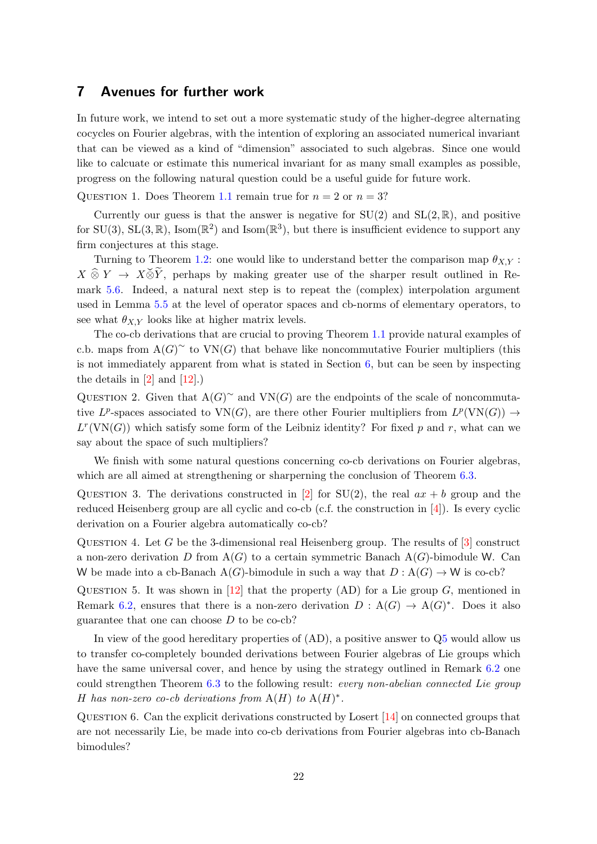## <span id="page-21-0"></span>7 Avenues for further work

In future work, we intend to set out a more systematic study of the higher-degree alternating cocycles on Fourier algebras, with the intention of exploring an associated numerical invariant that can be viewed as a kind of "dimension" associated to such algebras. Since one would like to calcuate or estimate this numerical invariant for as many small examples as possible, progress on the following natural question could be a useful guide for future work.

QUESTION 1. Does Theorem [1.1](#page-1-0) remain true for  $n = 2$  or  $n = 3$ ?

Currently our guess is that the answer is negative for  $SU(2)$  and  $SL(2,\mathbb{R})$ , and positive for SU(3), SL(3, R), Isom( $\mathbb{R}^2$ ) and Isom( $\mathbb{R}^3$ ), but there is insufficient evidence to support any firm conjectures at this stage.

Turning to Theorem [1.2:](#page-1-1) one would like to understand better the comparison map  $\theta_{X,Y}$ :  $X \hat{\otimes} Y \to X \check{\otimes} \tilde{Y}$ , perhaps by making greater use of the sharper result outlined in Remark [5.6.](#page-17-1) Indeed, a natural next step is to repeat the (complex) interpolation argument used in Lemma [5.5](#page-16-3) at the level of operator spaces and cb-norms of elementary operators, to see what  $\theta_{X,Y}$  looks like at higher matrix levels.

The co-cb derivations that are crucial to proving Theorem [1.1](#page-1-0) provide natural examples of c.b. maps from  $A(G)^\sim$  to VN(G) that behave like noncommutative Fourier multipliers (this is not immediately apparent from what is stated in Section [6,](#page-18-0) but can be seen by inspecting the details in  $[2]$  and  $[12]$ .)

QUESTION 2. Given that  $A(G)^\sim$  and VN(G) are the endpoints of the scale of noncommutative  $L^p$ -spaces associated to  $VN(G)$ , are there other Fourier multipliers from  $L^p(VN(G)) \to$  $L^r(\text{VN}(G))$  which satisfy some form of the Leibniz identity? For fixed p and r, what can we say about the space of such multipliers?

We finish with some natural questions concerning co-cb derivations on Fourier algebras, which are all aimed at strengthening or sharperning the conclusion of Theorem  $6.3$ .

QUESTION 3. The derivations constructed in [\[2\]](#page-22-0) for  $SU(2)$ , the real  $ax + b$  group and the reduced Heisenberg group are all cyclic and co-cb (c.f. the construction in [\[4\]](#page-22-6)). Is every cyclic derivation on a Fourier algebra automatically co-cb?

<span id="page-21-2"></span>QUESTION 4. Let G be the 3-dimensional real Heisenberg group. The results of  $[3]$  construct a non-zero derivation D from  $A(G)$  to a certain symmetric Banach  $A(G)$ -bimodule W. Can W be made into a cb-Banach A(G)-bimodule in such a way that  $D : A(G) \to W$  is co-cb?

<span id="page-21-1"></span>QUESTION 5. It was shown in [\[12\]](#page-23-0) that the property (AD) for a Lie group  $G$ , mentioned in Remark [6.2,](#page-19-7) ensures that there is a non-zero derivation  $D : A(G) \to A(G)^*$ . Does it also guarantee that one can choose  $D$  to be co-cb?

In view of the good hereditary properties of  $(AD)$ , a positive answer to  $Q5$  would allow us to transfer co-completely bounded derivations between Fourier algebras of Lie groups which have the same universal cover, and hence by using the strategy outlined in Remark [6.2](#page-19-7) one could strengthen Theorem [6.3](#page-20-0) to the following result: every non-abelian connected Lie group H has non-zero co-cb derivations from  $A(H)$  to  $A(H)^*$ .

<span id="page-21-3"></span>QUESTION 6. Can the explicit derivations constructed by Losert  $[14]$  on connected groups that are not necessarily Lie, be made into co-cb derivations from Fourier algebras into cb-Banach bimodules?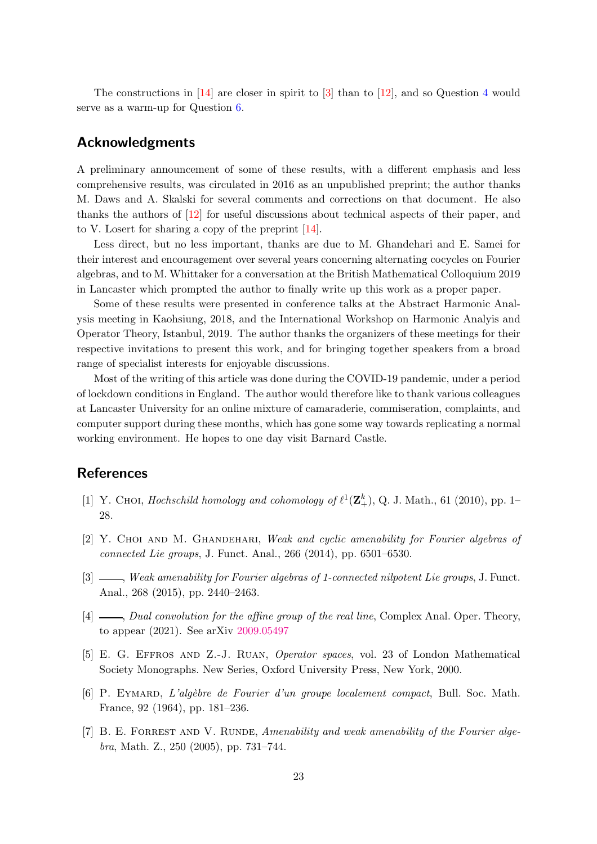The constructions in  $[14]$  $[14]$  $[14]$  are closer in spirit to  $[3]$  than to  $[12]$ , and so Question 4 would serve as a warm-up for Question [6.](#page-21-3)

# Acknowledgments

A preliminary announcement of some of these results, with a different emphasis and less comprehensive results, was circulated in 2016 as an unpublished preprint; the author thanks M. Daws and A. Skalski for several comments and corrections on that document. He also thanks the authors of [\[12\]](#page-23-0) for useful discussions about technical aspects of their paper, and to V. Losert for sharing a copy of the preprint [\[14\]](#page-23-3).

Less direct, but no less important, thanks are due to M. Ghandehari and E. Samei for their interest and encouragement over several years concerning alternating cocycles on Fourier algebras, and to M. Whittaker for a conversation at the British Mathematical Colloquium 2019 in Lancaster which prompted the author to finally write up this work as a proper paper.

Some of these results were presented in conference talks at the Abstract Harmonic Analysis meeting in Kaohsiung, 2018, and the International Workshop on Harmonic Analyis and Operator Theory, Istanbul, 2019. The author thanks the organizers of these meetings for their respective invitations to present this work, and for bringing together speakers from a broad range of specialist interests for enjoyable discussions.

Most of the writing of this article was done during the COVID-19 pandemic, under a period of lockdown conditions in England. The author would therefore like to thank various colleagues at Lancaster University for an online mixture of camaraderie, commiseration, complaints, and computer support during these months, which has gone some way towards replicating a normal working environment. He hopes to one day visit Barnard Castle.

# <span id="page-22-5"></span>**References**

- <span id="page-22-0"></span>[1] Y. CHOI, Hochschild homology and cohomology of  $\ell^1(\mathbf{Z}_{+}^k)$ , Q. J. Math., 61 (2010), pp. 1– 28.
- <span id="page-22-1"></span>[2] Y. CHOI AND M. GHANDEHARI, Weak and cyclic amenability for Fourier algebras of connected Lie groups, J. Funct. Anal., 266 (2014), pp. 6501–6530.
- <span id="page-22-6"></span>[3]  $\_\_\_\_\_\_\_\_\_\_\_\_\_\_\_\_\_\_\_\_\.\_\_\_\_\_\_\.\_$  Fourier algebras of 1-connected nilpotent Lie groups, J. Funct. Anal., 268 (2015), pp. 2440–2463.
- <span id="page-22-3"></span>[4]  $\Box$ , Dual convolution for the affine group of the real line, Complex Anal. Oper. Theory, to appear (2021). See arXiv [2009.05497](https://arxiv.org/abs/2009.05497)
- <span id="page-22-4"></span>[5] E. G. Effros and Z.-J. Ruan, Operator spaces, vol. 23 of London Mathematical Society Monographs. New Series, Oxford University Press, New York, 2000.
- <span id="page-22-2"></span>[6] P. EYMARD, L'algèbre de Fourier d'un groupe localement compact, Bull. Soc. Math. France, 92 (1964), pp. 181–236.
- [7] B. E. FORREST AND V. RUNDE, Amenability and weak amenability of the Fourier algebra, Math. Z., 250 (2005), pp. 731–744.